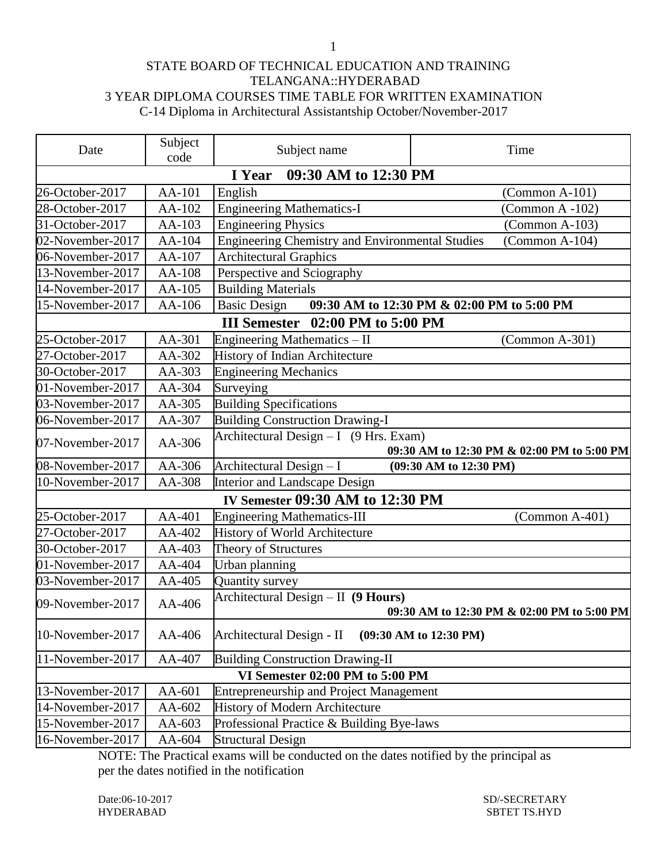## STATE BOARD OF TECHNICAL EDUCATION AND TRAINING TELANGANA::HYDERABAD 3 YEAR DIPLOMA COURSES TIME TABLE FOR WRITTEN EXAMINATION C-14 Diploma in Architectural Assistantship October/November-2017

| Date             | Subject<br>code                | Subject name                                           | Time                                       |  |  |
|------------------|--------------------------------|--------------------------------------------------------|--------------------------------------------|--|--|
|                  | 09:30 AM to 12:30 PM<br>I Year |                                                        |                                            |  |  |
| 26-October-2017  | AA-101                         | English                                                | $(Common A-101)$                           |  |  |
| 28-October-2017  | AA-102                         | <b>Engineering Mathematics-I</b>                       | (Common A-102)                             |  |  |
| 31-October-2017  | AA-103                         | <b>Engineering Physics</b>                             | $(Common A-103)$                           |  |  |
| 02-November-2017 | AA-104                         | <b>Engineering Chemistry and Environmental Studies</b> | (Common A-104)                             |  |  |
| 06-November-2017 | AA-107                         | <b>Architectural Graphics</b>                          |                                            |  |  |
| 13-November-2017 | AA-108                         | Perspective and Sciography                             |                                            |  |  |
| 14-November-2017 | AA-105                         | <b>Building Materials</b>                              |                                            |  |  |
| 15-November-2017 | AA-106                         | <b>Basic Design</b>                                    | 09:30 AM to 12:30 PM & 02:00 PM to 5:00 PM |  |  |
|                  |                                | III Semester 02:00 PM to 5:00 PM                       |                                            |  |  |
| 25-October-2017  | AA-301                         | Engineering Mathematics - II                           | (Common A-301)                             |  |  |
| 27-October-2017  | AA-302                         | History of Indian Architecture                         |                                            |  |  |
| 30-October-2017  | AA-303                         | <b>Engineering Mechanics</b>                           |                                            |  |  |
| 01-November-2017 | AA-304                         | Surveying                                              |                                            |  |  |
| 03-November-2017 | AA-305                         | <b>Building Specifications</b>                         |                                            |  |  |
| 06-November-2017 | AA-307                         | <b>Building Construction Drawing-I</b>                 |                                            |  |  |
| 07-November-2017 | AA-306                         | Architectural Design $- I$ (9 Hrs. Exam)               | 09:30 AM to 12:30 PM & 02:00 PM to 5:00 PM |  |  |
| 08-November-2017 | AA-306                         | Architectural Design - I                               | $(09:30 \text{ AM to } 12:30 \text{ PM})$  |  |  |
| 10-November-2017 | AA-308                         | <b>Interior and Landscape Design</b>                   |                                            |  |  |
|                  |                                | IV Semester 09:30 AM to 12:30 PM                       |                                            |  |  |
| 25-October-2017  | AA-401                         | <b>Engineering Mathematics-III</b>                     | $(Common A-401)$                           |  |  |
| 27-October-2017  | AA-402                         | History of World Architecture                          |                                            |  |  |
| 30-October-2017  | AA-403                         | Theory of Structures                                   |                                            |  |  |
| 01-November-2017 | AA-404                         | Urban planning                                         |                                            |  |  |
| 03-November-2017 | AA-405                         | Quantity survey                                        |                                            |  |  |
| 09-November-2017 | AA-406                         | Architectural Design $-$ II (9 Hours)                  | 09:30 AM to 12:30 PM & 02:00 PM to 5:00 PM |  |  |
| 10-November-2017 | AA-406                         | Architectural Design - II                              | $(09:30$ AM to 12:30 PM)                   |  |  |
| 11-November-2017 | AA-407                         | <b>Building Construction Drawing-II</b>                |                                            |  |  |
|                  |                                | VI Semester 02:00 PM to 5:00 PM                        |                                            |  |  |
| 13-November-2017 | AA-601                         | <b>Entrepreneurship and Project Management</b>         |                                            |  |  |
| 14-November-2017 | AA-602                         | <b>History of Modern Architecture</b>                  |                                            |  |  |
| 15-November-2017 | AA-603                         | Professional Practice & Building Bye-laws              |                                            |  |  |
| 16-November-2017 | AA-604                         | <b>Structural Design</b>                               |                                            |  |  |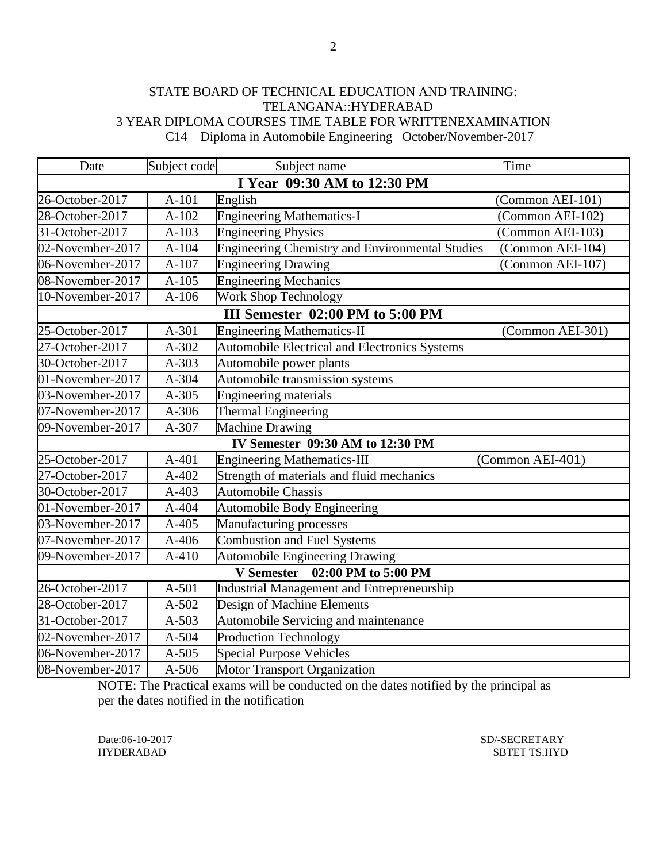## STATE BOARD OF TECHNICAL EDUCATION AND TRAINING: TELANGANA::HYDERABAD 3 YEAR DIPLOMA COURSES TIME TABLE FOR WRITTENEXAMINATION C14 Diploma in Automobile Engineering October/November-2017

| Date                        | Subject code | Subject name                                         | Time             |  |  |
|-----------------------------|--------------|------------------------------------------------------|------------------|--|--|
| I Year 09:30 AM to 12:30 PM |              |                                                      |                  |  |  |
| 26-October-2017             | $A-101$      | English                                              | (Common AEI-101) |  |  |
| 28-October-2017             | $A-102$      | <b>Engineering Mathematics-I</b>                     | (Common AEI-102) |  |  |
| 31-October-2017             | $A-103$      | <b>Engineering Physics</b>                           | (Common AEI-103) |  |  |
| 02-November-2017            | $A-104$      | Engineering Chemistry and Environmental Studies      | (Common AEI-104) |  |  |
| 06-November-2017            | $A-107$      | <b>Engineering Drawing</b>                           | (Common AEI-107) |  |  |
| 08-November-2017            | $A-105$      | <b>Engineering Mechanics</b>                         |                  |  |  |
| 10-November-2017            | $A-106$      | <b>Work Shop Technology</b>                          |                  |  |  |
|                             |              | III Semester 02:00 PM to 5:00 PM                     |                  |  |  |
| 25-October-2017             | A-301        | <b>Engineering Mathematics-II</b>                    | (Common AEI-301) |  |  |
| 27-October-2017             | A-302        | <b>Automobile Electrical and Electronics Systems</b> |                  |  |  |
| 30-October-2017             | A-303        | Automobile power plants                              |                  |  |  |
| 01-November-2017            | A-304        | Automobile transmission systems                      |                  |  |  |
| 03-November-2017            | $A-305$      | <b>Engineering materials</b>                         |                  |  |  |
| 07-November-2017            | $A-306$      | Thermal Engineering                                  |                  |  |  |
| 09-November-2017            | A-307        | <b>Machine Drawing</b>                               |                  |  |  |
|                             |              | IV Semester 09:30 AM to 12:30 PM                     |                  |  |  |
| 25-October-2017             | $A-401$      | <b>Engineering Mathematics-III</b>                   | (Common AEI-401) |  |  |
| 27-October-2017             | A-402        | Strength of materials and fluid mechanics            |                  |  |  |
| 30-October-2017             | A-403        | <b>Automobile Chassis</b>                            |                  |  |  |
| 01-November-2017            | A-404        | <b>Automobile Body Engineering</b>                   |                  |  |  |
| 03-November-2017            | A-405        | Manufacturing processes                              |                  |  |  |
| 07-November-2017            | $A-406$      | <b>Combustion and Fuel Systems</b>                   |                  |  |  |
| 09-November-2017            | $A-410$      | <b>Automobile Engineering Drawing</b>                |                  |  |  |
|                             |              | 02:00 PM to 5:00 PM<br><b>V</b> Semester             |                  |  |  |
| 26-October-2017             | $A-501$      | Industrial Management and Entrepreneurship           |                  |  |  |
| 28-October-2017             | $A-502$      | Design of Machine Elements                           |                  |  |  |
| 31-October-2017             | $A - 503$    | Automobile Servicing and maintenance                 |                  |  |  |
| 02-November-2017            | A-504        | <b>Production Technology</b>                         |                  |  |  |
| 06-November-2017            | $A-505$      | <b>Special Purpose Vehicles</b>                      |                  |  |  |
| 08-November-2017            | $A-506$      | <b>Motor Transport Organization</b>                  |                  |  |  |

NOTE: The Practical exams will be conducted on the dates notified by the principal as per the dates notified in the notification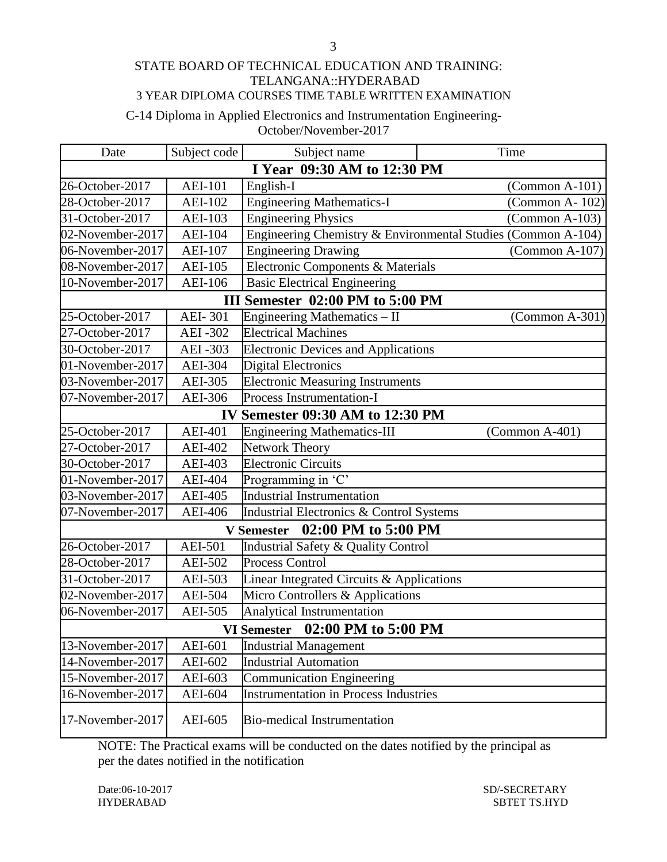### STATE BOARD OF TECHNICAL EDUCATION AND TRAINING: TELANGANA::HYDERABAD 3 YEAR DIPLOMA COURSES TIME TABLE WRITTEN EXAMINATION

# C-14 Diploma in Applied Electronics and Instrumentation Engineering-October/November-2017

| Date                            | Subject code          | Subject name                                 | Time                                                         |
|---------------------------------|-----------------------|----------------------------------------------|--------------------------------------------------------------|
| I Year 09:30 AM to 12:30 PM     |                       |                                              |                                                              |
| 26-October-2017                 | <b>AEI-101</b>        | English-I                                    | $(Common A-101)$                                             |
| 28-October-2017                 | <b>AEI-102</b>        | <b>Engineering Mathematics-I</b>             | (Common A-102)                                               |
| 31-October-2017                 | AEI-103               | <b>Engineering Physics</b>                   | $(Common A-103)$                                             |
| 02-November-2017                | <b>AEI-104</b>        |                                              | Engineering Chemistry & Environmental Studies (Common A-104) |
| 06-November-2017                | <b>AEI-107</b>        | <b>Engineering Drawing</b>                   | $(Common A-107)$                                             |
| 08-November-2017                | AEI- $10\overline{5}$ | Electronic Components & Materials            |                                                              |
| 10-November-2017                | <b>AEI-106</b>        | <b>Basic Electrical Engineering</b>          |                                                              |
|                                 |                       | III Semester 02:00 PM to 5:00 PM             |                                                              |
| 25-October-2017                 | <b>AEI-301</b>        | Engineering Mathematics - II                 | $(Common A-301)$                                             |
| 27-October-2017                 | <b>AEI-302</b>        | <b>Electrical Machines</b>                   |                                                              |
| 30-October-2017                 | AEI-303               | <b>Electronic Devices and Applications</b>   |                                                              |
| 01-November-2017                | <b>AEI-304</b>        | <b>Digital Electronics</b>                   |                                                              |
| 03-November-2017                | <b>AEI-305</b>        | <b>Electronic Measuring Instruments</b>      |                                                              |
| 07-November-2017                | <b>AEI-306</b>        | Process Instrumentation-I                    |                                                              |
|                                 |                       | <b>IV Semester 09:30 AM to 12:30 PM</b>      |                                                              |
| 25-October-2017                 | <b>AEI-401</b>        | <b>Engineering Mathematics-III</b>           | $(Common A-401)$                                             |
| 27-October-2017                 | <b>AEI-402</b>        | <b>Network Theory</b>                        |                                                              |
| 30-October-2017                 | <b>AEI-403</b>        | <b>Electronic Circuits</b>                   |                                                              |
| 01-November-2017                | <b>AEI-404</b>        | Programming in 'C'                           |                                                              |
| 03-November-2017                | <b>AEI-405</b>        | <b>Industrial Instrumentation</b>            |                                                              |
| 07-November-2017                | <b>AEI-406</b>        | Industrial Electronics & Control Systems     |                                                              |
|                                 |                       | V Semester 02:00 PM to 5:00 PM               |                                                              |
| 26-October-2017                 | <b>AEI-501</b>        | Industrial Safety & Quality Control          |                                                              |
| 28-October-2017                 | <b>AEI-502</b>        | <b>Process Control</b>                       |                                                              |
| 31-October-2017                 | AEI-503               | Linear Integrated Circuits & Applications    |                                                              |
| 02-November-2017                | <b>AEI-504</b>        | Micro Controllers & Applications             |                                                              |
| 06-November-2017                | AEI-505               | Analytical Instrumentation                   |                                                              |
| VI Semester 02:00 PM to 5:00 PM |                       |                                              |                                                              |
| 13-November-2017                | AEI-601               | <b>Industrial Management</b>                 |                                                              |
| 14-November-2017                | AEI-602               | <b>Industrial Automation</b>                 |                                                              |
| 15-November-2017                | AEI-603               | <b>Communication Engineering</b>             |                                                              |
| 16-November-2017                | AEI-604               | <b>Instrumentation in Process Industries</b> |                                                              |
| 17-November-2017                | AEI-605               | <b>Bio-medical Instrumentation</b>           |                                                              |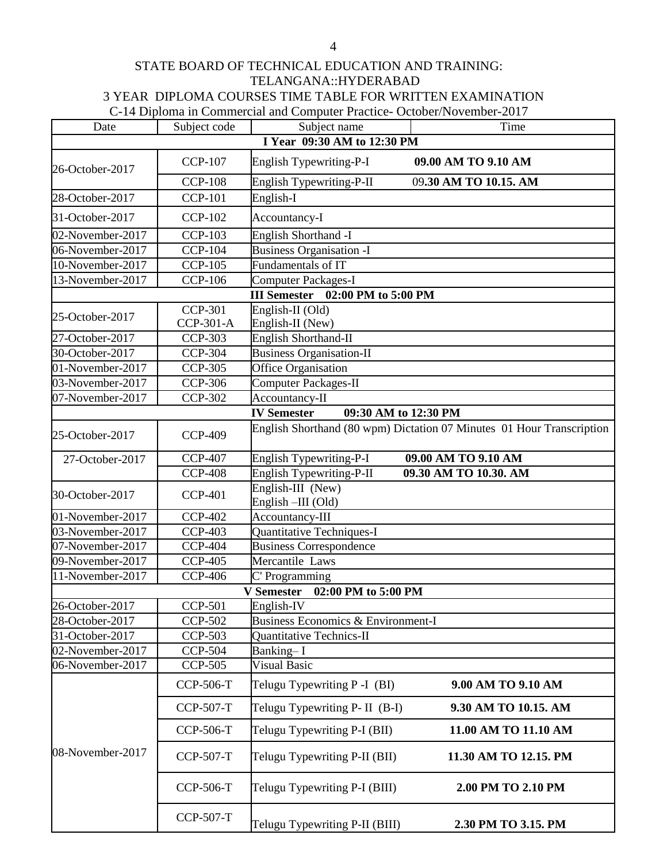# STATE BOARD OF TECHNICAL EDUCATION AND TRAINING: TELANGANA::HYDERABAD 3 YEAR DIPLOMA COURSES TIME TABLE FOR WRITTEN EXAMINATION C-14 Diploma in Commercial and Computer Practice- October/November-2017

| Date             | Subject code     | Subject name                               | Time                                                                  |
|------------------|------------------|--------------------------------------------|-----------------------------------------------------------------------|
|                  |                  | I Year 09:30 AM to 12:30 PM                |                                                                       |
| 26-October-2017  | <b>CCP-107</b>   | English Typewriting-P-I                    | 09.00 AM TO 9.10 AM                                                   |
|                  | <b>CCP-108</b>   | English Typewriting-P-II                   | 09.30 AM TO 10.15. AM                                                 |
| 28-October-2017  | <b>CCP-101</b>   | English-I                                  |                                                                       |
| 31-October-2017  | <b>CCP-102</b>   | Accountancy-I                              |                                                                       |
| 02-November-2017 | <b>CCP-103</b>   | English Shorthand -I                       |                                                                       |
| 06-November-2017 | <b>CCP-104</b>   | <b>Business Organisation -I</b>            |                                                                       |
| 10-November-2017 | <b>CCP-105</b>   | Fundamentals of IT                         |                                                                       |
| 13-November-2017 | <b>CCP-106</b>   | <b>Computer Packages-I</b>                 |                                                                       |
|                  |                  | III Semester 02:00 PM to 5:00 PM           |                                                                       |
| 25-October-2017  | <b>CCP-301</b>   | English-II (Old)                           |                                                                       |
|                  | CCP-301-A        | English-II (New)                           |                                                                       |
| 27-October-2017  | <b>CCP-303</b>   | <b>English Shorthand-II</b>                |                                                                       |
| 30-October-2017  | <b>CCP-304</b>   | Business Organisation-II                   |                                                                       |
| 01-November-2017 | <b>CCP-305</b>   | Office Organisation                        |                                                                       |
| 03-November-2017 | <b>CCP-306</b>   | <b>Computer Packages-II</b>                |                                                                       |
| 07-November-2017 | <b>CCP-302</b>   | Accountancy-II                             |                                                                       |
|                  |                  | <b>IV Semester</b><br>09:30 AM to 12:30 PM |                                                                       |
| 25-October-2017  | <b>CCP-409</b>   |                                            | English Shorthand (80 wpm) Dictation 07 Minutes 01 Hour Transcription |
| 27-October-2017  | <b>CCP-407</b>   | English Typewriting-P-I                    | 09.00 AM TO 9.10 AM                                                   |
|                  | <b>CCP-408</b>   | English Typewriting-P-II                   | 09.30 AM TO 10.30. AM                                                 |
| 30-October-2017  | <b>CCP-401</b>   | English-III (New)<br>English-III (Old)     |                                                                       |
| 01-November-2017 | <b>CCP-402</b>   | Accountancy-III                            |                                                                       |
| 03-November-2017 | <b>CCP-403</b>   | Quantitative Techniques-I                  |                                                                       |
| 07-November-2017 | <b>CCP-404</b>   | <b>Business Correspondence</b>             |                                                                       |
| 09-November-2017 | <b>CCP-405</b>   | Mercantile Laws                            |                                                                       |
| 11-November-2017 | <b>CCP-406</b>   | C' Programming                             |                                                                       |
|                  |                  | 02:00 PM to 5:00 PM<br><b>V</b> Semester   |                                                                       |
| 26-October-2017  | <b>CCP-501</b>   | English-IV                                 |                                                                       |
| 28-October-2017  | <b>CCP-502</b>   | Business Economics & Environment-I         |                                                                       |
| 31-October-2017  | <b>CCP-503</b>   | Quantitative Technics-II                   |                                                                       |
| 02-November-2017 | <b>CCP-504</b>   | Banking-I                                  |                                                                       |
| 06-November-2017 | <b>CCP-505</b>   | <b>Visual Basic</b>                        |                                                                       |
|                  | CCP-506-T        | Telugu Typewriting P-I (BI)                | 9.00 AM TO 9.10 AM                                                    |
| 08-November-2017 | <b>CCP-507-T</b> | Telugu Typewriting P- II (B-I)             | 9.30 AM TO 10.15. AM                                                  |
|                  | <b>CCP-506-T</b> | Telugu Typewriting P-I (BII)               | 11.00 AM TO 11.10 AM                                                  |
|                  | <b>CCP-507-T</b> | Telugu Typewriting P-II (BII)              | 11.30 AM TO 12.15. PM                                                 |
|                  | <b>CCP-506-T</b> | Telugu Typewriting P-I (BIII)              | 2.00 PM TO 2.10 PM                                                    |
|                  | <b>CCP-507-T</b> | Telugu Typewriting P-II (BIII)             | 2.30 PM TO 3.15. PM                                                   |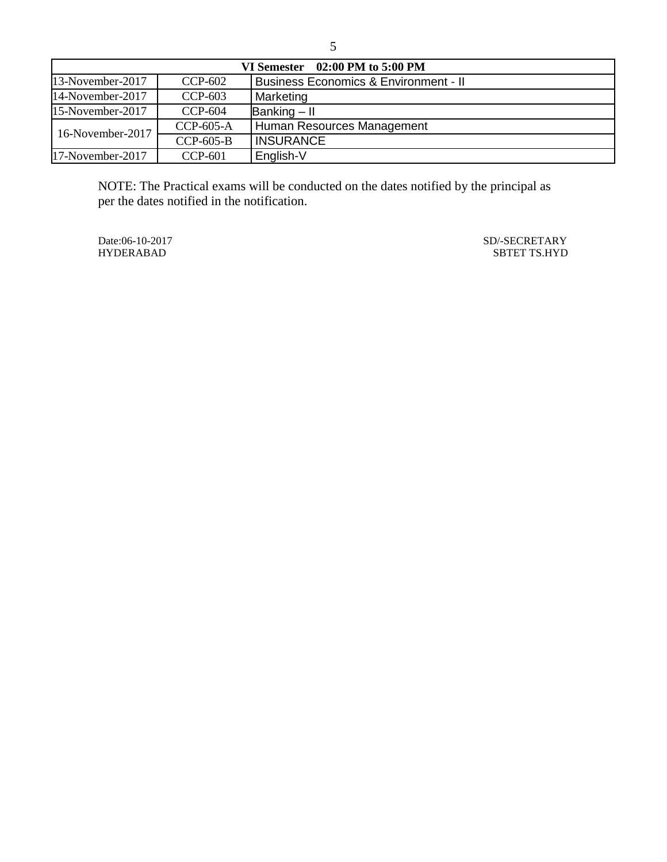| VI Semester $02:00$ PM to $5:00$ PM |             |                                                  |  |
|-------------------------------------|-------------|--------------------------------------------------|--|
| 13-November-2017                    | $CCP-602$   | <b>Business Economics &amp; Environment - II</b> |  |
| 14-November-2017                    | $CCP-603$   | Marketing                                        |  |
| 15-November-2017                    | CCP-604     | Banking $-$ II                                   |  |
| 16-November-2017                    | CCP-605-A   | Human Resources Management                       |  |
|                                     | $CCP-605-B$ | <b>INSURANCE</b>                                 |  |
| 17-November-2017                    | $CCP-601$   | English-V                                        |  |

NOTE: The Practical exams will be conducted on the dates notified by the principal as per the dates notified in the notification.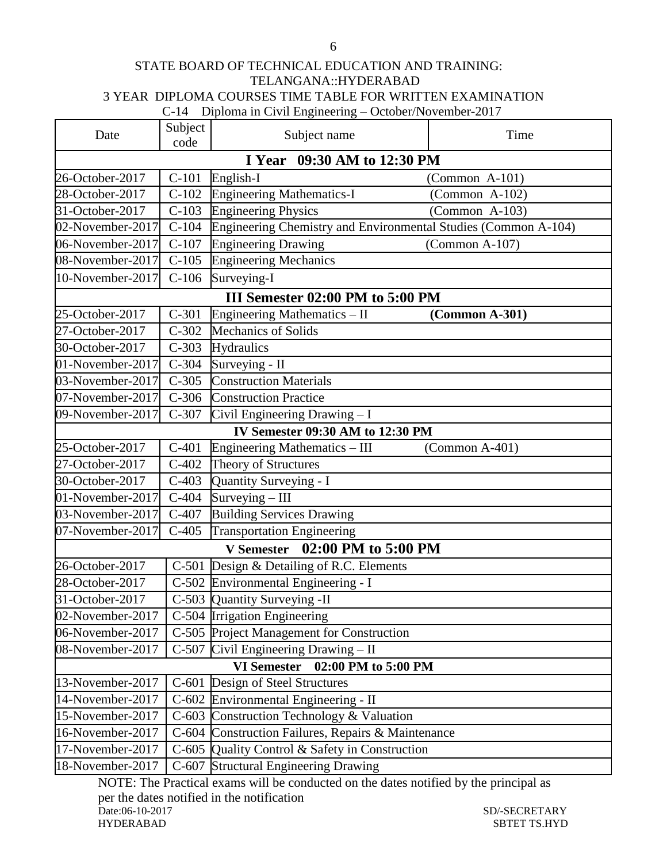### STATE BOARD OF TECHNICAL EDUCATION AND TRAINING: TELANGANA::HYDERABAD 3 YEAR DIPLOMA COURSES TIME TABLE FOR WRITTEN EXAMINATION C-14 Diploma in Civil Engineering – October/November-2017

| Date                                                              | Subject<br>code             | Subject name                                                   | Time                                                             |  |
|-------------------------------------------------------------------|-----------------------------|----------------------------------------------------------------|------------------------------------------------------------------|--|
|                                                                   | I Year 09:30 AM to 12:30 PM |                                                                |                                                                  |  |
| 26-October-2017                                                   | $C-101$                     | English-I                                                      | $(Common A-101)$                                                 |  |
| 28-October-2017                                                   | $C-102$                     | <b>Engineering Mathematics-I</b>                               | $(Common A-102)$                                                 |  |
| 31-October-2017                                                   | $C-103$                     | <b>Engineering Physics</b>                                     | $(Common A-103)$                                                 |  |
| 02-November-2017                                                  | $C-104$                     | Engineering Chemistry and Environmental Studies (Common A-104) |                                                                  |  |
| 06-November-2017                                                  | $C-107$                     | <b>Engineering Drawing</b>                                     | $(Common A-107)$                                                 |  |
| 08-November-2017                                                  | $C-105$                     | <b>Engineering Mechanics</b>                                   |                                                                  |  |
| 10-November-2017                                                  | $C-106$                     | Surveying-I                                                    |                                                                  |  |
|                                                                   |                             | III Semester 02:00 PM to 5:00 PM                               |                                                                  |  |
| 25-October-2017                                                   | $C-301$                     | Engineering Mathematics - II                                   | (Common A-301)                                                   |  |
| 27-October-2017                                                   | $\overline{C}$ -302         | Mechanics of Solids                                            |                                                                  |  |
| 30-October-2017                                                   | $C-303$                     | Hydraulics                                                     |                                                                  |  |
| 01-November-2017                                                  | $C-304$                     | Surveying - II                                                 |                                                                  |  |
| 03-November-2017                                                  | $C-305$                     | <b>Construction Materials</b>                                  |                                                                  |  |
| 07-November-2017                                                  | $C-306$                     | <b>Construction Practice</b>                                   |                                                                  |  |
| 09-November-2017                                                  | $C-307$                     | Civil Engineering Drawing - I                                  |                                                                  |  |
|                                                                   |                             | IV Semester 09:30 AM to 12:30 PM                               |                                                                  |  |
| 25-October-2017                                                   | $C-401$                     | Engineering Mathematics - III                                  | $(Common A-401)$                                                 |  |
| 27-October-2017                                                   | $C-402$                     | Theory of Structures                                           |                                                                  |  |
| 30-October-2017                                                   | $C-403$                     | Quantity Surveying - I                                         |                                                                  |  |
| 01-November-2017                                                  | $C-404$                     | Surveying - III                                                |                                                                  |  |
| 03-November-2017                                                  | $C-407$                     | <b>Building Services Drawing</b>                               |                                                                  |  |
| 07-November-2017                                                  | $C-405$                     | <b>Transportation Engineering</b>                              |                                                                  |  |
|                                                                   |                             | V Semester 02:00 PM to 5:00 PM                                 |                                                                  |  |
| 26-October-2017                                                   |                             | C-501 Design & Detailing of R.C. Elements                      |                                                                  |  |
| 28-October-2017                                                   |                             | C-502 Environmental Engineering - I                            |                                                                  |  |
| 31-October-2017                                                   |                             | C-503 Quantity Surveying -II                                   |                                                                  |  |
| 02-November-2017                                                  |                             | C-504 Irrigation Engineering                                   |                                                                  |  |
| 06-November-2017                                                  |                             | C-505 Project Management for Construction                      |                                                                  |  |
| 08-November-2017                                                  |                             | $\overline{C\text{-}507}$ Civil Engineering Drawing – II       |                                                                  |  |
| <b>VI Semester</b><br>02:00 PM to 5:00 PM                         |                             |                                                                |                                                                  |  |
| 13-November-2017                                                  | $C-601$                     | Design of Steel Structures                                     |                                                                  |  |
| 14-November-2017                                                  |                             | C-602 Environmental Engineering - II                           |                                                                  |  |
| 15-November-2017                                                  |                             | C-603 Construction Technology & Valuation                      |                                                                  |  |
| 16-November-2017                                                  |                             | C-604 Construction Failures, Repairs & Maintenance             |                                                                  |  |
| 17-November-2017                                                  |                             | C-605 Quality Control & Safety in Construction                 |                                                                  |  |
| 18-November-2017<br>$M\triangle T\Gamma$ , $T_{\text{loc}}\Gamma$ |                             | C-607 Structural Engineering Drawing                           | $\mathcal{L}(\mathcal{L}^* \cup A, \mathbf{1}_{\mathbf{1}})$ and |  |

NOTE: The Practical exams will be conducted on the dates notified by the principal as per the dates notified in the notification<br>Date:06-10-2017 SD/-SECRETARY HYDERABAD SBTET TS.HYD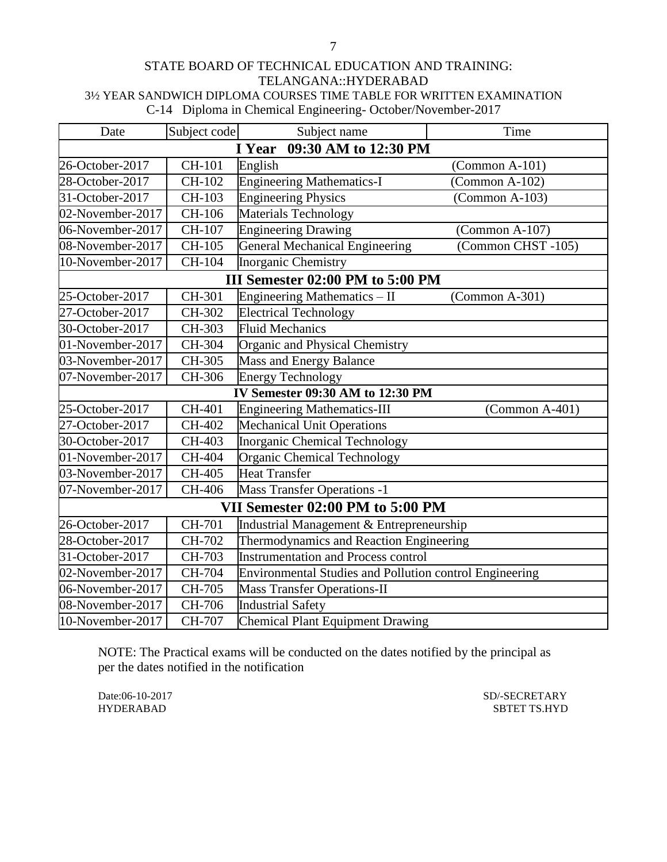### STATE BOARD OF TECHNICAL EDUCATION AND TRAINING: TELANGANA::HYDERABAD 3½ YEAR SANDWICH DIPLOMA COURSES TIME TABLE FOR WRITTEN EXAMINATION C-14 Diploma in Chemical Engineering- October/November-2017

| Date                           | Subject code | Subject name                                            | Time                    |  |
|--------------------------------|--------------|---------------------------------------------------------|-------------------------|--|
| 09:30 AM to 12:30 PM<br>I Year |              |                                                         |                         |  |
| 26-October-2017                | CH-101       | English                                                 | $(Common A-101)$        |  |
| 28-October-2017                | CH-102       | <b>Engineering Mathematics-I</b>                        | $(Common A-102)$        |  |
| 31-October-2017                | CH-103       | <b>Engineering Physics</b>                              | $(Common A-103)$        |  |
| 02-November-2017               | CH-106       | Materials Technology                                    |                         |  |
| 06-November-2017               | CH-107       | <b>Engineering Drawing</b>                              | $\Gamma$ (Common A-107) |  |
| 08-November-2017               | CH-105       | <b>General Mechanical Engineering</b>                   | (Common CHST-105)       |  |
| 10-November-2017               | CH-104       | <b>Inorganic Chemistry</b>                              |                         |  |
|                                |              | III Semester 02:00 PM to 5:00 PM                        |                         |  |
| 25-October-2017                | CH-301       | Engineering Mathematics - II                            | $(Common A-301)$        |  |
| 27-October-2017                | CH-302       | <b>Electrical Technology</b>                            |                         |  |
| 30-October-2017                | CH-303       | <b>Fluid Mechanics</b>                                  |                         |  |
| 01-November-2017               | CH-304       | Organic and Physical Chemistry                          |                         |  |
| 03-November-2017               | CH-305       | Mass and Energy Balance                                 |                         |  |
| 07-November-2017               | CH-306       | <b>Energy Technology</b>                                |                         |  |
|                                |              | IV Semester 09:30 AM to 12:30 PM                        |                         |  |
| 25-October-2017                | CH-401       | <b>Engineering Mathematics-III</b>                      | $(Common A-401)$        |  |
| 27-October-2017                | CH-402       | <b>Mechanical Unit Operations</b>                       |                         |  |
| 30-October-2017                | CH-403       | Inorganic Chemical Technology                           |                         |  |
| 01-November-2017               | CH-404       | <b>Organic Chemical Technology</b>                      |                         |  |
| 03-November-2017               | CH-405       | <b>Heat Transfer</b>                                    |                         |  |
| 07-November-2017               | CH-406       | <b>Mass Transfer Operations -1</b>                      |                         |  |
|                                |              | VII Semester 02:00 PM to 5:00 PM                        |                         |  |
| 26-October-2017                | CH-701       | Industrial Management & Entrepreneurship                |                         |  |
| 28-October-2017                | CH-702       | Thermodynamics and Reaction Engineering                 |                         |  |
| 31-October-2017                | CH-703       | <b>Instrumentation and Process control</b>              |                         |  |
| 02-November-2017               | CH-704       | Environmental Studies and Pollution control Engineering |                         |  |
| 06-November-2017               | CH-705       | <b>Mass Transfer Operations-II</b>                      |                         |  |
| 08-November-2017               | CH-706       | <b>Industrial Safety</b>                                |                         |  |
| 10-November-2017               | CH-707       | Chemical Plant Equipment Drawing                        |                         |  |

NOTE: The Practical exams will be conducted on the dates notified by the principal as per the dates notified in the notification

Date:06-10-2017 SD/-SECRETARY SD/-SECRETARY SD/-SECRETARY SD/-SECRETARY SD/-SECRETARY SBTET TS.HYD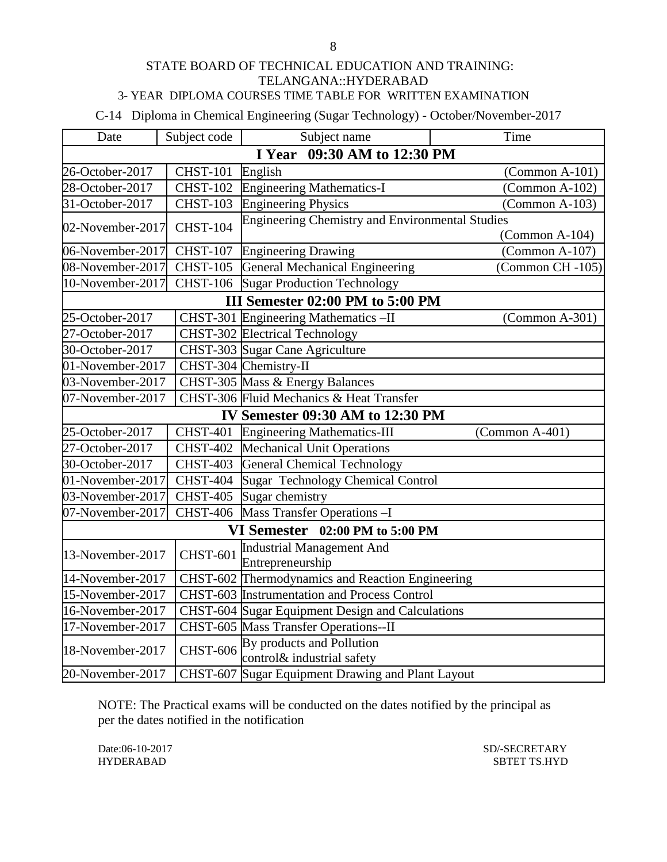### STATE BOARD OF TECHNICAL EDUCATION AND TRAINING: TELANGANA::HYDERABAD 3- YEAR DIPLOMA COURSES TIME TABLE FOR WRITTEN EXAMINATION

C-14 Diploma in Chemical Engineering (Sugar Technology) - October/November-2017

| Date                | Subject code                   | Subject name                                           | Time                    |  |
|---------------------|--------------------------------|--------------------------------------------------------|-------------------------|--|
|                     | 09:30 AM to 12:30 PM<br>I Year |                                                        |                         |  |
| 26-October-2017     | <b>CHST-101</b>                | English                                                | $(Common A-101)$        |  |
| 28-October-2017     | <b>CHST-102</b>                | <b>Engineering Mathematics-I</b>                       | $(Common A-102)$        |  |
| 31-October-2017     | <b>CHST-103</b>                | <b>Engineering Physics</b>                             | $(Common A-103)$        |  |
| 02-November-2017    | <b>CHST-104</b>                | <b>Engineering Chemistry and Environmental Studies</b> |                         |  |
|                     |                                |                                                        | $\Gamma$ (Common A-104) |  |
| 06-November-2017    | <b>CHST-107</b>                | <b>Engineering Drawing</b>                             | $(Common A-107)$        |  |
| 08-November-2017    | $CHST-105$                     | General Mechanical Engineering                         | (Common CH -105)        |  |
| 10-November-2017    |                                | CHST-106 Sugar Production Technology                   |                         |  |
|                     |                                | III Semester 02:00 PM to 5:00 PM                       |                         |  |
| 25-October-2017     |                                | CHST-301 Engineering Mathematics-II                    | $(Common A-301)$        |  |
| 27-October-2017     |                                | CHST-302 Electrical Technology                         |                         |  |
| 30-October-2017     |                                | CHST-303 Sugar Cane Agriculture                        |                         |  |
| 01-November-2017    |                                | CHST-304 Chemistry-II                                  |                         |  |
| 03-November- $2017$ |                                | CHST-305 Mass & Energy Balances                        |                         |  |
| 07-November-2017    |                                | CHST-306 Fluid Mechanics & Heat Transfer               |                         |  |
|                     |                                | IV Semester 09:30 AM to 12:30 PM                       |                         |  |
| 25-October-2017     | <b>CHST-401</b>                | <b>Engineering Mathematics-III</b>                     | (Common A-401)          |  |
| 27-October-2017     | <b>CHST-402</b>                | <b>Mechanical Unit Operations</b>                      |                         |  |
| 30-October-2017     | <b>CHST-403</b>                | <b>General Chemical Technology</b>                     |                         |  |
| 01-November-2017    | <b>CHST-404</b>                | <b>Sugar Technology Chemical Control</b>               |                         |  |
| 03-November-2017    | $\overline{\text{CHST-}405}$   | Sugar chemistry                                        |                         |  |
| 07-November-2017    | <b>CHST-406</b>                | Mass Transfer Operations -I                            |                         |  |
|                     |                                | VI Semester 02:00 PM to 5:00 PM                        |                         |  |
| 13-November-2017    | <b>CHST-601</b>                | <b>Industrial Management And</b><br>Entrepreneurship   |                         |  |
| 14-November-2017    |                                | CHST-602 Thermodynamics and Reaction Engineering       |                         |  |
| 15-November-2017    |                                | CHST-603 Instrumentation and Process Control           |                         |  |
| 16-November-2017    |                                | CHST-604 Sugar Equipment Design and Calculations       |                         |  |
| 17-November-2017    |                                | CHST-605 Mass Transfer Operations--II                  |                         |  |
|                     |                                | By products and Pollution                              |                         |  |
| 18-November-2017    | <b>CHST-606</b>                | control& industrial safety                             |                         |  |
| 20-November-2017    |                                | CHST-607 Sugar Equipment Drawing and Plant Layout      |                         |  |

NOTE: The Practical exams will be conducted on the dates notified by the principal as per the dates notified in the notification

Date:06-10-2017 SD/-SECRETARY

HYDERABAD SBTET TS.HYD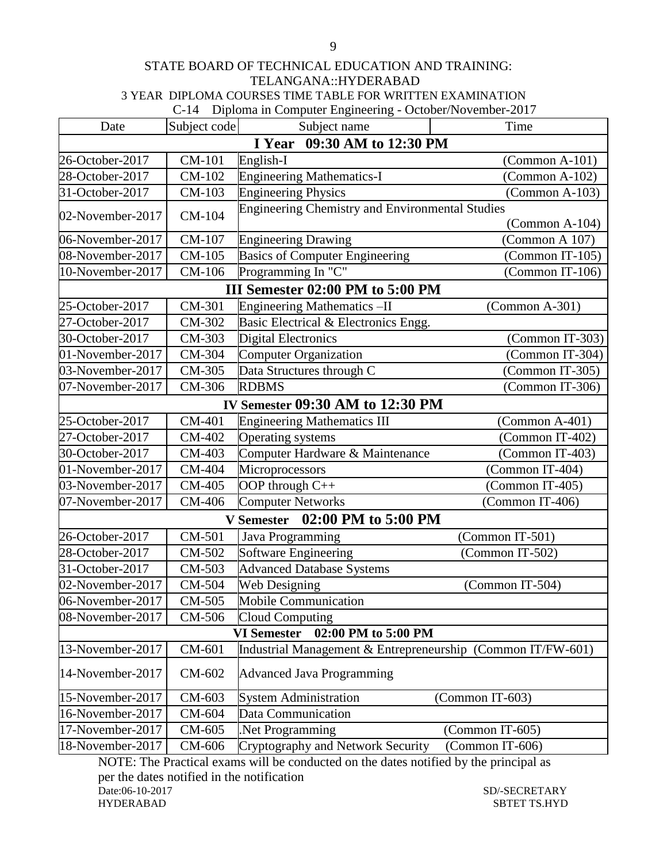#### STATE BOARD OF TECHNICAL EDUCATION AND TRAINING: TELANGANA::HYDERABAD 3 YEAR DIPLOMA COURSES TIME TABLE FOR WRITTEN EXAMINATION C-14 Diploma in Computer Engineering - October/November-2017

|                  |              | $C-14$ Diploma in Computer Engineering - October/Two vernoet-2017 |                         |
|------------------|--------------|-------------------------------------------------------------------|-------------------------|
| Date             | Subject code | Subject name                                                      | Time                    |
|                  |              | I Year 09:30 AM to 12:30 PM                                       |                         |
| 26-October-2017  | CM-101       | English-I                                                         | $(Common A-101)$        |
| 28-October-2017  | CM-102       | <b>Engineering Mathematics-I</b>                                  | (Common A-102)          |
| 31-October-2017  | CM-103       | <b>Engineering Physics</b>                                        | $(Common A-103)$        |
| 02-November-2017 | CM-104       | <b>Engineering Chemistry and Environmental Studies</b>            |                         |
|                  |              |                                                                   | $\Gamma$ (Common A-104) |
| 06-November-2017 | CM-107       | <b>Engineering Drawing</b>                                        | (Common A 107)          |
| 08-November-2017 | CM-105       | <b>Basics of Computer Engineering</b>                             | (Common IT-105)         |
| 10-November-2017 | CM-106       | Programming In "C"                                                | (Common IT-106)         |
|                  |              | III Semester 02:00 PM to 5:00 PM                                  |                         |
| 25-October-2017  | CM-301       | Engineering Mathematics-II                                        | (Common A-301)          |
| 27-October-2017  | CM-302       | Basic Electrical & Electronics Engg.                              |                         |
| 30-October-2017  | CM-303       | <b>Digital Electronics</b>                                        | (Common IT-303)         |
| 01-November-2017 | CM-304       | <b>Computer Organization</b>                                      | (Common IT-304)         |
| 03-November-2017 | CM-305       | Data Structures through C                                         | (Common IT-305)         |
| 07-November-2017 | CM-306       | <b>RDBMS</b>                                                      | (Common IT-306)         |
|                  |              | <b>IV Semester 09:30 AM to 12:30 PM</b>                           |                         |
| 25-October-2017  | CM-401       | <b>Engineering Mathematics III</b>                                | $(Common A-401)$        |
| 27-October-2017  | CM-402       | Operating systems                                                 | (Common IT-402)         |
| 30-October-2017  | CM-403       | Computer Hardware & Maintenance                                   | (Common IT-403)         |
| 01-November-2017 | CM-404       | Microprocessors                                                   | (Common IT-404)         |
| 03-November-2017 | CM-405       | OOP through $C++$                                                 | (Common IT-405)         |
| 07-November-2017 | CM-406       | <b>Computer Networks</b>                                          | (Common IT-406)         |
|                  |              | 02:00 PM to 5:00 PM<br><b>V</b> Semester                          |                         |
| 26-October-2017  | CM-501       | Java Programming                                                  | (Common IT-501)         |
| 28-October-2017  | CM-502       | <b>Software Engineering</b>                                       | (Common IT-502)         |
| 31-October-2017  | CM-503       | <b>Advanced Database Systems</b>                                  |                         |
| 02-November-2017 | CM-504       | Web Designing                                                     | (Common IT-504)         |
| 06-November-2017 | CM-505       | Mobile Communication                                              |                         |
| 08-November-2017 | CM-506       | Cloud Computing                                                   |                         |
|                  |              | 02:00 PM to 5:00 PM<br><b>VI Semester</b>                         |                         |
| 13-November-2017 | CM-601       | Industrial Management & Entrepreneurship (Common IT/FW-601)       |                         |
| 14-November-2017 | CM-602       | <b>Advanced Java Programming</b>                                  |                         |
| 15-November-2017 | CM-603       | <b>System Administration</b>                                      | (Common IT-603)         |
| 16-November-2017 | CM-604       | Data Communication                                                |                         |
| 17-November-2017 | CM-605       | Net Programming                                                   | (Common IT-605)         |
| 18-November-2017 | CM-606       | Cryptography and Network Security                                 | (Common IT-606)         |

NOTE: The Practical exams will be conducted on the dates notified by the principal as per the dates notified in the notification<br>Date:06-10-2017 SD/-SECRETARY HYDERABAD SBTET TS.HYD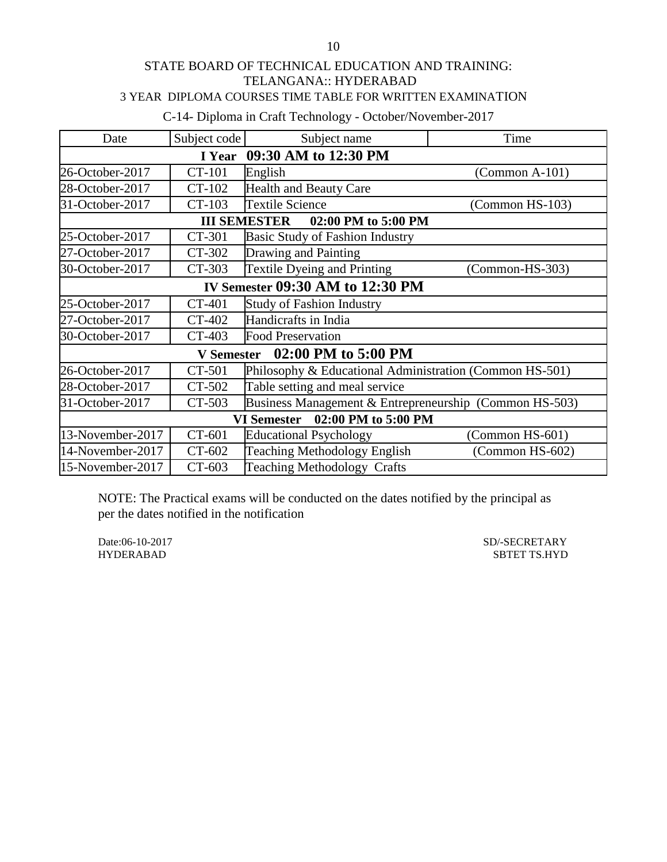## STATE BOARD OF TECHNICAL EDUCATION AND TRAINING: TELANGANA:: HYDERABAD 3 YEAR DIPLOMA COURSES TIME TABLE FOR WRITTEN EXAMINATION

C-14- Diploma in Craft Technology - October/November-2017

| Date                                      | Subject code      | Subject name                                            | Time              |  |
|-------------------------------------------|-------------------|---------------------------------------------------------|-------------------|--|
| 09:30 AM to 12:30 PM<br>I Year            |                   |                                                         |                   |  |
| 26-October-2017                           | CT-101            | English                                                 | $(Common A-101)$  |  |
| 28-October-2017                           | CT-102            | <b>Health and Beauty Care</b>                           |                   |  |
| 31-October-2017                           | CT-103            | <b>Textile Science</b>                                  | (Common HS-103)   |  |
|                                           |                   | <b>III SEMESTER</b><br>02:00 PM to 5:00 PM              |                   |  |
| 25-October-2017                           | CT-301            | <b>Basic Study of Fashion Industry</b>                  |                   |  |
| 27-October-2017                           | CT-302            | Drawing and Painting                                    |                   |  |
| 30-October-2017                           | CT-303            | <b>Textile Dyeing and Printing</b>                      | $(Common-HS-303)$ |  |
|                                           |                   | <b>IV Semester 09:30 AM to 12:30 PM</b>                 |                   |  |
| 25-October-2017                           | CT-401            | <b>Study of Fashion Industry</b>                        |                   |  |
| 27-October-2017                           | CT-402            | Handicrafts in India                                    |                   |  |
| 30-October-2017                           | CT-403            | <b>Food Preservation</b>                                |                   |  |
|                                           | <b>V</b> Semester | 02:00 PM to 5:00 PM                                     |                   |  |
| 26-October-2017                           | CT-501            | Philosophy & Educational Administration (Common HS-501) |                   |  |
| 28-October-2017                           | CT-502            | Table setting and meal service                          |                   |  |
| 31-October-2017                           | CT-503            | Business Management & Entrepreneurship (Common HS-503)  |                   |  |
| 02:00 PM to 5:00 PM<br><b>VI Semester</b> |                   |                                                         |                   |  |
| 13-November-2017                          | CT-601            | <b>Educational Psychology</b>                           | (Common HS-601)   |  |
| 14-November-2017                          | CT-602            | <b>Teaching Methodology English</b>                     | (Common HS-602)   |  |
| 15-November-2017                          | CT-603            | <b>Teaching Methodology Crafts</b>                      |                   |  |

NOTE: The Practical exams will be conducted on the dates notified by the principal as per the dates notified in the notification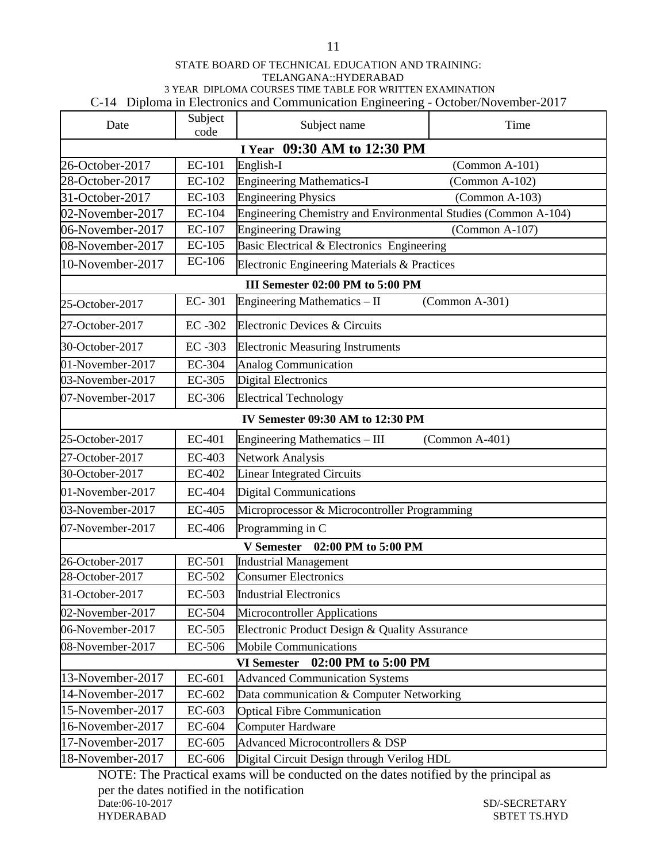#### STATE BOARD OF TECHNICAL EDUCATION AND TRAINING: TELANGANA::HYDERABAD 3 YEAR DIPLOMA COURSES TIME TABLE FOR WRITTEN EXAMINATION C-14 Diploma in Electronics and Communication Engineering - October/November-2017

| Date             | Subject<br>code             | Subject name                                                   | Time             |  |  |
|------------------|-----------------------------|----------------------------------------------------------------|------------------|--|--|
|                  | I Year 09:30 AM to 12:30 PM |                                                                |                  |  |  |
| 26-October-2017  | <b>EC-101</b>               | English-I                                                      | $(Common A-101)$ |  |  |
| 28-October-2017  | EC-102                      | <b>Engineering Mathematics-I</b>                               | $(Common A-102)$ |  |  |
| 31-October-2017  | EC-103                      | <b>Engineering Physics</b>                                     | $(Common A-103)$ |  |  |
| 02-November-2017 | EC-104                      | Engineering Chemistry and Environmental Studies (Common A-104) |                  |  |  |
| 06-November-2017 | EC-107                      | <b>Engineering Drawing</b>                                     | (Common A-107)   |  |  |
| 08-November-2017 | <b>EC-105</b>               | Basic Electrical & Electronics Engineering                     |                  |  |  |
| 10-November-2017 | EC-106                      | Electronic Engineering Materials & Practices                   |                  |  |  |
|                  |                             | III Semester 02:00 PM to 5:00 PM                               |                  |  |  |
| 25-October-2017  | EC-301                      | Engineering Mathematics - II                                   | $(Common A-301)$ |  |  |
| 27-October-2017  | EC-302                      | Electronic Devices & Circuits                                  |                  |  |  |
| 30-October-2017  | EC-303                      | <b>Electronic Measuring Instruments</b>                        |                  |  |  |
| 01-November-2017 | EC-304                      | <b>Analog Communication</b>                                    |                  |  |  |
| 03-November-2017 | EC-305                      | <b>Digital Electronics</b>                                     |                  |  |  |
| 07-November-2017 | EC-306                      | <b>Electrical Technology</b>                                   |                  |  |  |
|                  |                             | IV Semester 09:30 AM to 12:30 PM                               |                  |  |  |
| 25-October-2017  | EC-401                      | Engineering Mathematics – III                                  | (Common A-401)   |  |  |
| 27-October-2017  | EC-403                      | <b>Network Analysis</b>                                        |                  |  |  |
| 30-October-2017  | EC-402                      | <b>Linear Integrated Circuits</b>                              |                  |  |  |
| 01-November-2017 | EC-404                      | <b>Digital Communications</b>                                  |                  |  |  |
| 03-November-2017 | EC-405                      | Microprocessor & Microcontroller Programming                   |                  |  |  |
| 07-November-2017 | EC-406                      | Programming in C                                               |                  |  |  |
|                  |                             | 02:00 PM to 5:00 PM<br><b>V</b> Semester                       |                  |  |  |
| 26-October-2017  | EC-501                      | <b>Industrial Management</b>                                   |                  |  |  |
| 28-October-2017  | EC-502                      | <b>Consumer Electronics</b>                                    |                  |  |  |
| 31-October-2017  | EC-503                      | <b>Industrial Electronics</b>                                  |                  |  |  |
| 02-November-2017 | EC-504                      | Microcontroller Applications                                   |                  |  |  |
| 06-November-2017 | EC-505                      | Electronic Product Design & Quality Assurance                  |                  |  |  |
| 08-November-2017 | EC-506                      | <b>Mobile Communications</b>                                   |                  |  |  |
|                  |                             | 02:00 PM to 5:00 PM<br><b>VI Semester</b>                      |                  |  |  |
| 13-November-2017 | EC-601                      | <b>Advanced Communication Systems</b>                          |                  |  |  |
| 14-November-2017 | EC-602                      | Data communication & Computer Networking                       |                  |  |  |
| 15-November-2017 | EC-603                      | <b>Optical Fibre Communication</b>                             |                  |  |  |
| 16-November-2017 | EC-604                      | Computer Hardware                                              |                  |  |  |
| 17-November-2017 | EC-605                      | <b>Advanced Microcontrollers &amp; DSP</b>                     |                  |  |  |
| 18-November-2017 | EC-606                      | Digital Circuit Design through Verilog HDL                     |                  |  |  |

NOTE: The Practical exams will be conducted on the dates notified by the principal as per the dates notified in the notification<br>Date:06-10-2017 Date:06-10-2017 SD/-SECRETARY SD/-SECRETARY SD/-SECRETARY SD/-SECRETARY SD/-SECRETARY SPONE SBTET TS.HYD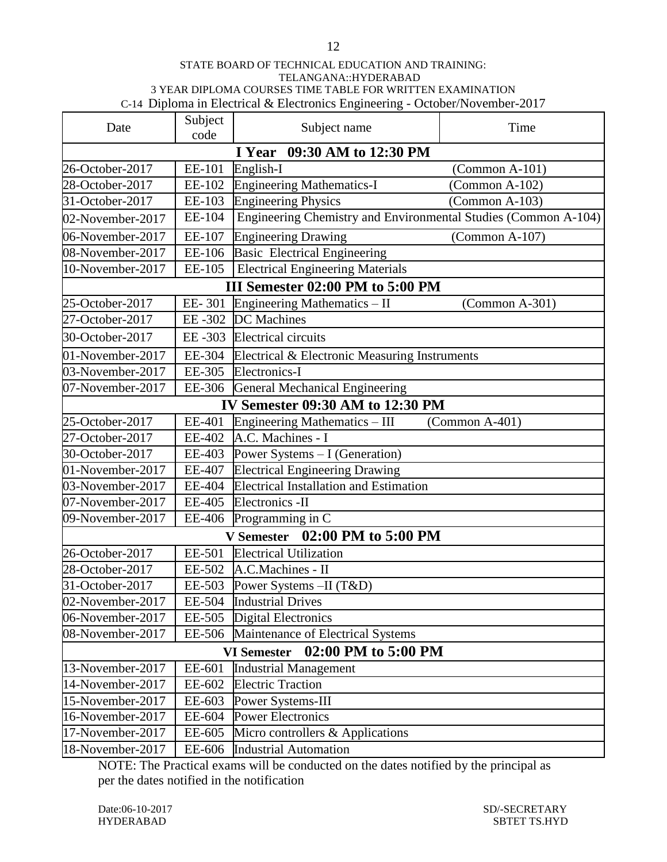#### STATE BOARD OF TECHNICAL EDUCATION AND TRAINING: TELANGANA::HYDERABAD 3 YEAR DIPLOMA COURSES TIME TABLE FOR WRITTEN EXAMINATION C-14Diploma in Electrical & Electronics Engineering - October/November-2017

| Date             | Subject<br>code             | Subject name                                                   | Time             |  |
|------------------|-----------------------------|----------------------------------------------------------------|------------------|--|
|                  | I Year 09:30 AM to 12:30 PM |                                                                |                  |  |
| 26-October-2017  | EE-101                      | English-I                                                      | (Common A-101)   |  |
| 28-October-2017  | EE-102                      | <b>Engineering Mathematics-I</b>                               | (Common A-102)   |  |
| 31-October-2017  | EE-103                      | <b>Engineering Physics</b>                                     | $(Common A-103)$ |  |
| 02-November-2017 | EE-104                      | Engineering Chemistry and Environmental Studies (Common A-104) |                  |  |
| 06-November-2017 | EE-107                      | <b>Engineering Drawing</b>                                     | $(Common A-107)$ |  |
| 08-November-2017 | EE-106                      | <b>Basic Electrical Engineering</b>                            |                  |  |
| 10-November-2017 | EE-105                      | <b>Electrical Engineering Materials</b>                        |                  |  |
|                  |                             | III Semester 02:00 PM to 5:00 PM                               |                  |  |
| 25-October-2017  |                             | EE-301 Engineering Mathematics $-$ II                          | $(Common A-301)$ |  |
| 27-October-2017  | EE-302                      | <b>DC</b> Machines                                             |                  |  |
| 30-October-2017  | EE-303                      | <b>Electrical circuits</b>                                     |                  |  |
| 01-November-2017 | EE-304                      | Electrical & Electronic Measuring Instruments                  |                  |  |
| 03-November-2017 | EE-305                      | Electronics-I                                                  |                  |  |
| 07-November-2017 |                             | EE-306 General Mechanical Engineering                          |                  |  |
|                  |                             | IV Semester 09:30 AM to 12:30 PM                               |                  |  |
| 25-October-2017  | EE-401                      | Engineering Mathematics - III                                  | $(Common A-401)$ |  |
| 27-October-2017  | EE-402                      | A.C. Machines - I                                              |                  |  |
| 30-October-2017  | EE-403                      | Power Systems - I (Generation)                                 |                  |  |
| 01-November-2017 | EE-407                      | <b>Electrical Engineering Drawing</b>                          |                  |  |
| 03-November-2017 | EE-404                      | <b>Electrical Installation and Estimation</b>                  |                  |  |
| 07-November-2017 | EE-405                      | Electronics -II                                                |                  |  |
| 09-November-2017 | EE-406                      | Programming in C                                               |                  |  |
|                  |                             | V Semester 02:00 PM to 5:00 PM                                 |                  |  |
| 26-October-2017  | EE-501                      | <b>Electrical Utilization</b>                                  |                  |  |
| 28-October-2017  | EE-502                      | A.C.Machines - II                                              |                  |  |
| 31-October-2017  | EE-503                      | Power Systems -II (T&D)                                        |                  |  |
| 02-November-2017 | EE-504                      | <b>Industrial Drives</b>                                       |                  |  |
| 06-November-2017 | EE-505                      | <b>Digital Electronics</b>                                     |                  |  |
| 08-November-2017 | EE-506                      | Maintenance of Electrical Systems                              |                  |  |
|                  |                             | 02:00 PM to 5:00 PM<br><b>VI Semester</b>                      |                  |  |
| 13-November-2017 | EE-601                      | <b>Industrial Management</b>                                   |                  |  |
| 14-November-2017 | EE-602                      | <b>Electric Traction</b>                                       |                  |  |
| 15-November-2017 | EE-603                      | Power Systems-III                                              |                  |  |
| 16-November-2017 | EE-604                      | <b>Power Electronics</b>                                       |                  |  |
| 17-November-2017 | EE-605                      | Micro controllers & Applications                               |                  |  |
| 18-November-2017 | EE-606                      | <b>Industrial Automation</b>                                   |                  |  |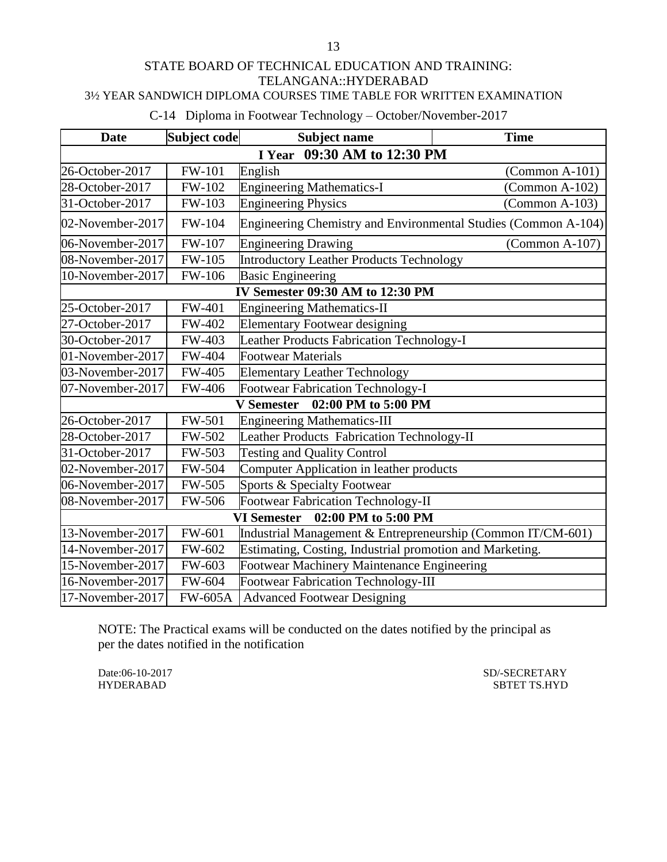### STATE BOARD OF TECHNICAL EDUCATION AND TRAINING: TELANGANA::HYDERABAD 3½ YEAR SANDWICH DIPLOMA COURSES TIME TABLE FOR WRITTEN EXAMINATION

C-14 Diploma in Footwear Technology – October/November-2017

| <b>Date</b>                               | Subject code   | <b>Subject name</b>                                            | <b>Time</b>             |  |
|-------------------------------------------|----------------|----------------------------------------------------------------|-------------------------|--|
|                                           |                | I Year 09:30 AM to 12:30 PM                                    |                         |  |
| 26-October-2017                           | <b>FW-101</b>  | English                                                        | $\Gamma$ (Common A-101) |  |
| 28-October-2017                           | FW-102         | Engineering Mathematics-I                                      | $(Common A-102)$        |  |
| 31-October-2017                           | FW-103         | <b>Engineering Physics</b>                                     | $(Common A-103)$        |  |
| 02-November-2017                          | FW-104         | Engineering Chemistry and Environmental Studies (Common A-104) |                         |  |
| 06-November-2017                          | FW-107         | <b>Engineering Drawing</b>                                     | $(Common A-107)$        |  |
| 08-November-2017                          | <b>FW-105</b>  | <b>Introductory Leather Products Technology</b>                |                         |  |
| 10-November-2017                          | FW-106         | <b>Basic Engineering</b>                                       |                         |  |
|                                           |                | IV Semester 09:30 AM to 12:30 PM                               |                         |  |
| 25-October-2017                           | FW-401         | <b>Engineering Mathematics-II</b>                              |                         |  |
| 27-October-2017                           | FW-402         | <b>Elementary Footwear designing</b>                           |                         |  |
| 30-October-2017                           | FW-403         | Leather Products Fabrication Technology-I                      |                         |  |
| 01-November-2017                          | FW-404         | <b>Footwear Materials</b>                                      |                         |  |
| 03-November-2017                          | <b>FW-405</b>  | <b>Elementary Leather Technology</b>                           |                         |  |
| 07-November-2017                          | FW-406         | <b>Footwear Fabrication Technology-I</b>                       |                         |  |
|                                           |                | 02:00 PM to 5:00 PM<br><b>V</b> Semester                       |                         |  |
| 26-October-2017                           | <b>FW-501</b>  | <b>Engineering Mathematics-III</b>                             |                         |  |
| 28-October-2017                           | FW-502         | Leather Products Fabrication Technology-II                     |                         |  |
| 31-October-2017                           | FW-503         | <b>Testing and Quality Control</b>                             |                         |  |
| 02-November-2017                          | FW-504         | Computer Application in leather products                       |                         |  |
| 06-November-2017                          | FW-505         | Sports & Specialty Footwear                                    |                         |  |
| 08-November-2017                          | FW-506         | <b>Footwear Fabrication Technology-II</b>                      |                         |  |
| 02:00 PM to 5:00 PM<br><b>VI Semester</b> |                |                                                                |                         |  |
| 13-November-2017                          | FW-601         | Industrial Management & Entrepreneurship (Common IT/CM-601)    |                         |  |
| 14-November-2017                          | FW-602         | Estimating, Costing, Industrial promotion and Marketing.       |                         |  |
| 15-November-2017                          | FW-603         | Footwear Machinery Maintenance Engineering                     |                         |  |
| 16-November-2017                          | FW-604         | <b>Footwear Fabrication Technology-III</b>                     |                         |  |
| 17-November-2017                          | <b>FW-605A</b> | <b>Advanced Footwear Designing</b>                             |                         |  |

NOTE: The Practical exams will be conducted on the dates notified by the principal as per the dates notified in the notification

Date:06-10-2017 SD/-SECRETARY SD/-SECRETARY SD/-SECRETARY SD/-SECRETARY SBTET TS.HYD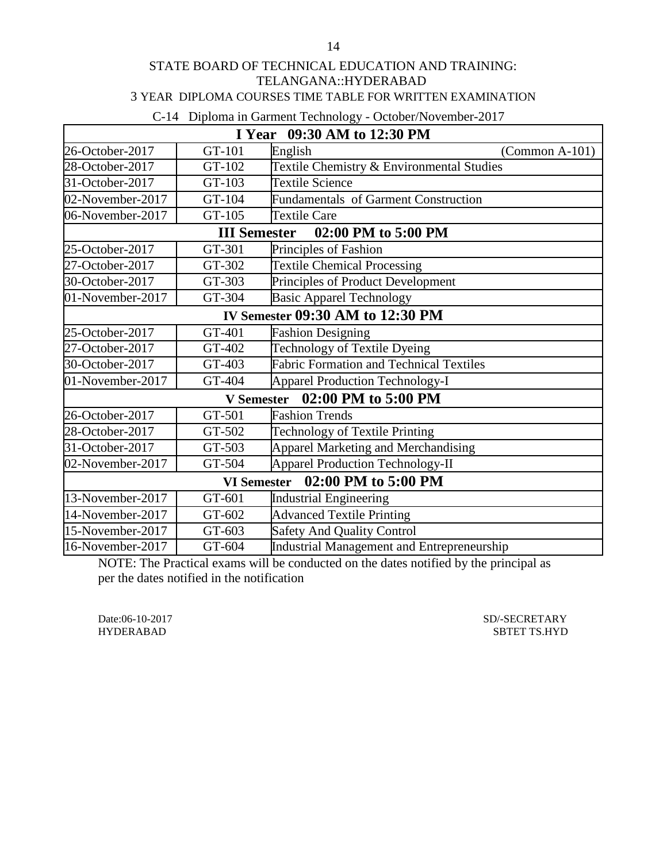### STATE BOARD OF TECHNICAL EDUCATION AND TRAINING: TELANGANA::HYDERABAD 3 YEAR DIPLOMA COURSES TIME TABLE FOR WRITTEN EXAMINATION

#### C-14 Diploma in Garment Technology - October/November-2017

| $\sim$ 1. Diploma in Garmont Technology Cerober/Technology 2017<br>I Year 09:30 AM to 12:30 PM |                     |                                                |                         |  |  |
|------------------------------------------------------------------------------------------------|---------------------|------------------------------------------------|-------------------------|--|--|
| 26-October-2017                                                                                | GT-101              | English                                        | $\Gamma$ (Common A-101) |  |  |
| 28-October-2017                                                                                | GT-102              | Textile Chemistry & Environmental Studies      |                         |  |  |
| 31-October-2017                                                                                | GT-103              | <b>Textile Science</b>                         |                         |  |  |
| 02-November-2017                                                                               | GT-104              | Fundamentals of Garment Construction           |                         |  |  |
| 06-November-2017                                                                               | GT-105              | <b>Textile Care</b>                            |                         |  |  |
|                                                                                                | <b>III</b> Semester | 02:00 PM to 5:00 PM                            |                         |  |  |
| 25-October-2017                                                                                | GT-301              | Principles of Fashion                          |                         |  |  |
| 27-October-2017                                                                                | GT-302              | <b>Textile Chemical Processing</b>             |                         |  |  |
| 30-October-2017                                                                                | GT-303              | Principles of Product Development              |                         |  |  |
| 01-November-2017                                                                               | GT-304              | <b>Basic Apparel Technology</b>                |                         |  |  |
| IV Semester 09:30 AM to 12:30 PM                                                               |                     |                                                |                         |  |  |
| 25-October-2017                                                                                | GT-401              | <b>Fashion Designing</b>                       |                         |  |  |
| 27-October-2017                                                                                | GT-402              | Technology of Textile Dyeing                   |                         |  |  |
| 30-October-2017                                                                                | GT-403              | <b>Fabric Formation and Technical Textiles</b> |                         |  |  |
| 01-November-2017                                                                               | GT-404              | <b>Apparel Production Technology-I</b>         |                         |  |  |
|                                                                                                | <b>V</b> Semester   | 02:00 PM to 5:00 PM                            |                         |  |  |
| 26-October-2017                                                                                | GT-501              | <b>Fashion Trends</b>                          |                         |  |  |
| 28-October-2017                                                                                | GT-502              | <b>Technology of Textile Printing</b>          |                         |  |  |
| 31-October-2017                                                                                | GT-503              | Apparel Marketing and Merchandising            |                         |  |  |
| 02-November-2017                                                                               | GT-504              | <b>Apparel Production Technology-II</b>        |                         |  |  |
| 02:00 PM to 5:00 PM<br><b>VI</b> Semester                                                      |                     |                                                |                         |  |  |
| 13-November-2017                                                                               | GT-601              | <b>Industrial Engineering</b>                  |                         |  |  |
| 14-November-2017                                                                               | GT-602              | <b>Advanced Textile Printing</b>               |                         |  |  |
| 15-November-2017                                                                               | GT-603              | <b>Safety And Quality Control</b>              |                         |  |  |
| 16-November-2017                                                                               | GT-604              | Industrial Management and Entrepreneurship     |                         |  |  |

NOTE: The Practical exams will be conducted on the dates notified by the principal as per the dates notified in the notification

Date:06-10-2017 SD/-SECRETARY

HYDERABAD SBTET TS.HYD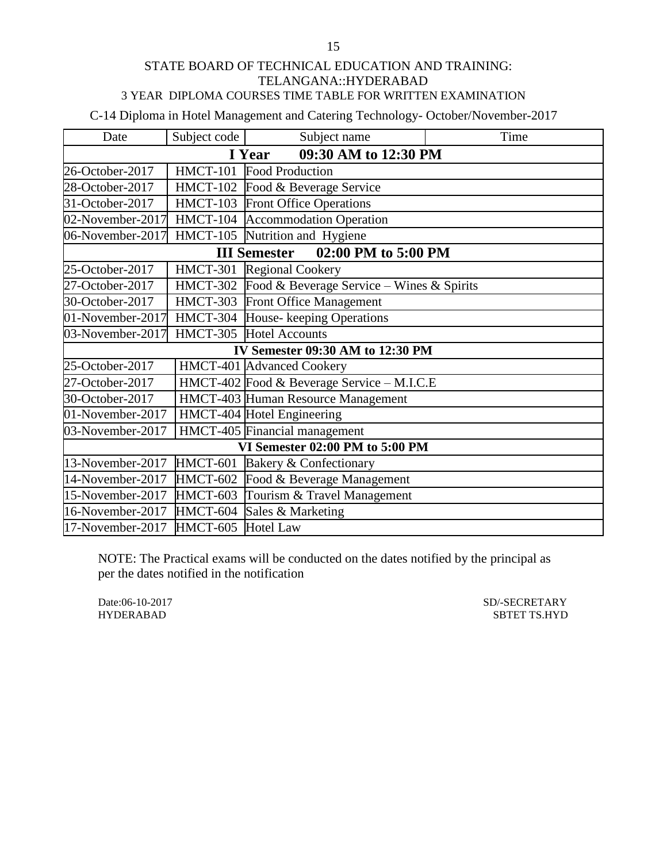### STATE BOARD OF TECHNICAL EDUCATION AND TRAINING: TELANGANA::HYDERABAD 3 YEAR DIPLOMA COURSES TIME TABLE FOR WRITTEN EXAMINATION

C-14 Diploma in Hotel Management and Catering Technology- October/November-2017

| Date                            | Subject code                   | Subject name                               | Time |  |  |
|---------------------------------|--------------------------------|--------------------------------------------|------|--|--|
|                                 | 09:30 AM to 12:30 PM<br>I Year |                                            |      |  |  |
| 26-October-2017                 | <b>HMCT-101</b>                | <b>Food Production</b>                     |      |  |  |
| 28-October-2017                 |                                | HMCT-102 Food & Beverage Service           |      |  |  |
| 31-October-2017                 |                                | HMCT-103 Front Office Operations           |      |  |  |
| 02-November-2017                |                                | HMCT-104 Accommodation Operation           |      |  |  |
| 06-November-2017                |                                | HMCT-105 Nutrition and Hygiene             |      |  |  |
|                                 |                                | 02:00 PM to 5:00 PM<br><b>III Semester</b> |      |  |  |
| 25-October-2017                 | HMCT-301                       | <b>Regional Cookery</b>                    |      |  |  |
| 27-October-2017                 | HMCT-302                       | Food & Beverage Service – Wines & Spirits  |      |  |  |
| 30-October-2017                 |                                | HMCT-303 Front Office Management           |      |  |  |
| 01-November-2017                |                                | HMCT-304 House- keeping Operations         |      |  |  |
| 03-November-2017                |                                | HMCT-305 Hotel Accounts                    |      |  |  |
|                                 |                                | IV Semester 09:30 AM to 12:30 PM           |      |  |  |
| 25-October-2017                 |                                | HMCT-401 Advanced Cookery                  |      |  |  |
| 27-October-2017                 |                                | HMCT-402 Food & Beverage Service - M.I.C.E |      |  |  |
| 30-October-2017                 |                                | HMCT-403 Human Resource Management         |      |  |  |
| 01-November-2017                |                                | HMCT-404 Hotel Engineering                 |      |  |  |
| 03-November-2017                |                                | HMCT-405 Financial management              |      |  |  |
| VI Semester 02:00 PM to 5:00 PM |                                |                                            |      |  |  |
| 13-November-2017                |                                | HMCT-601 Bakery & Confectionary            |      |  |  |
| 14-November-2017                |                                | HMCT-602 Food & Beverage Management        |      |  |  |
| 15-November-2017                |                                | HMCT-603 Tourism & Travel Management       |      |  |  |
| 16-November-2017                |                                | HMCT-604 Sales & Marketing                 |      |  |  |
| 17-November-2017                | HMCT-605 Hotel Law             |                                            |      |  |  |

NOTE: The Practical exams will be conducted on the dates notified by the principal as per the dates notified in the notification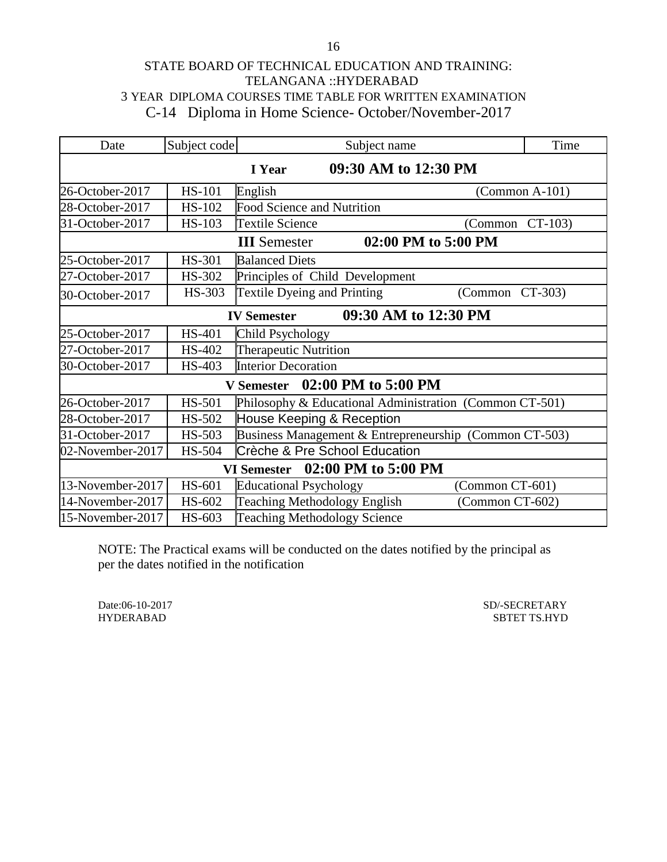# STATE BOARD OF TECHNICAL EDUCATION AND TRAINING: TELANGANA ::HYDERABAD 3 YEAR DIPLOMA COURSES TIME TABLE FOR WRITTEN EXAMINATION C-14 Diploma in Home Science- October/November-2017

| Date                                       | Subject code                              | Time<br>Subject name                                    |                         |  |  |
|--------------------------------------------|-------------------------------------------|---------------------------------------------------------|-------------------------|--|--|
| 09:30 AM to 12:30 PM<br>I Year             |                                           |                                                         |                         |  |  |
| 26-October-2017                            | <b>HS-101</b>                             | English                                                 | $\Gamma$ (Common A-101) |  |  |
| 28-October-2017                            | HS-102                                    | <b>Food Science and Nutrition</b>                       |                         |  |  |
| 31-October-2017                            | <b>HS-103</b>                             | <b>Textile Science</b><br>(Common                       | $CT-103$                |  |  |
|                                            |                                           | 02:00 PM to 5:00 PM<br><b>III</b> Semester              |                         |  |  |
| 25-October-2017                            | <b>HS-301</b>                             | <b>Balanced Diets</b>                                   |                         |  |  |
| 27-October-2017                            | HS-302                                    | Principles of Child Development                         |                         |  |  |
| 30-October-2017                            | HS-303                                    | <b>Textile Dyeing and Printing</b><br>(Common           | $CT-303$                |  |  |
| 09:30 AM to 12:30 PM<br><b>IV Semester</b> |                                           |                                                         |                         |  |  |
| 25-October-2017                            | <b>HS-401</b>                             | Child Psychology                                        |                         |  |  |
| 27-October-2017                            | HS-402                                    | Therapeutic Nutrition                                   |                         |  |  |
| 30-October-2017                            | HS-403                                    | <b>Interior Decoration</b>                              |                         |  |  |
| 02:00 PM to 5:00 PM<br><b>V</b> Semester   |                                           |                                                         |                         |  |  |
| 26-October-2017                            | <b>HS-501</b>                             | Philosophy & Educational Administration (Common CT-501) |                         |  |  |
| 28-October-2017                            | HS-502                                    | House Keeping & Reception                               |                         |  |  |
| 31-October-2017                            | HS-503                                    | Business Management & Entrepreneurship (Common CT-503)  |                         |  |  |
| 02-November-2017                           | HS-504                                    | <b>Crèche &amp; Pre School Education</b>                |                         |  |  |
|                                            | 02:00 PM to 5:00 PM<br><b>VI Semester</b> |                                                         |                         |  |  |
| 13-November-2017                           | HS-601                                    | <b>Educational Psychology</b><br>(Common CT-601)        |                         |  |  |
| 14-November-2017                           | HS-602                                    | <b>Teaching Methodology English</b>                     | (Common CT-602)         |  |  |
| 15-November-2017                           | HS-603                                    | <b>Teaching Methodology Science</b>                     |                         |  |  |

NOTE: The Practical exams will be conducted on the dates notified by the principal as per the dates notified in the notification

Date:06-10-2017 SD/-SECRETARY

HYDERABAD SBTET TS.HYD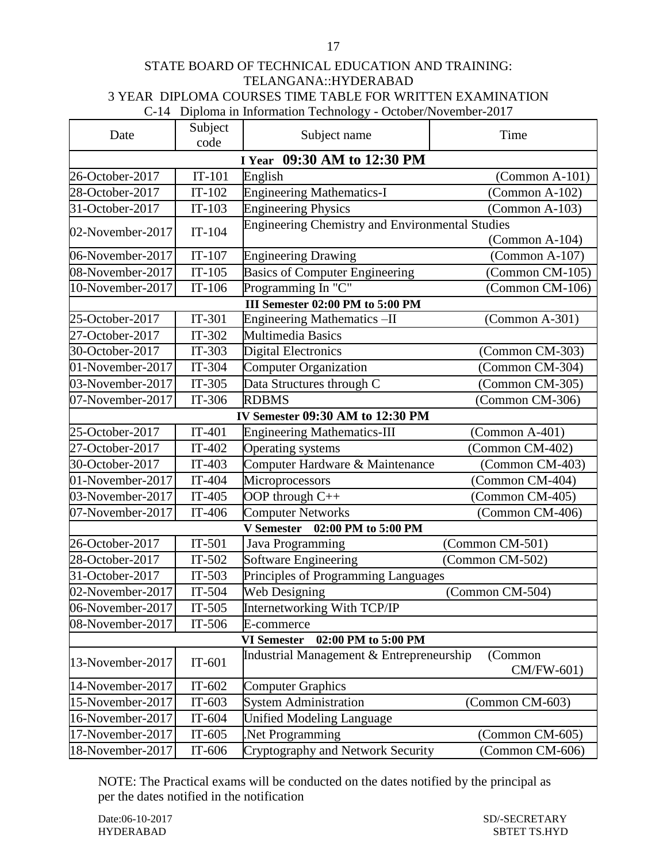## STATE BOARD OF TECHNICAL EDUCATION AND TRAINING: TELANGANA::HYDERABAD 3 YEAR DIPLOMA COURSES TIME TABLE FOR WRITTEN EXAMINATION C-14 Diploma in Information Technology - October/November-2017

| Date             | Subject<br>code             | Subject name                                           | Time                  |  |  |  |
|------------------|-----------------------------|--------------------------------------------------------|-----------------------|--|--|--|
|                  | I Year 09:30 AM to 12:30 PM |                                                        |                       |  |  |  |
| 26-October-2017  | $IT-101$                    | English                                                | $(Common A-101)$      |  |  |  |
| 28-October-2017  | $IT-102$                    | <b>Engineering Mathematics-I</b>                       | (Common A-102)        |  |  |  |
| 31-October-2017  | $IT-103$                    | <b>Engineering Physics</b>                             | $(Common A-103)$      |  |  |  |
|                  |                             | <b>Engineering Chemistry and Environmental Studies</b> |                       |  |  |  |
| 02-November-2017 | $IT-104$                    |                                                        | (Common A-104)        |  |  |  |
| 06-November-2017 | $IT-107$                    | <b>Engineering Drawing</b>                             | $(Common A-107)$      |  |  |  |
| 08-November-2017 | $IT-105$                    | <b>Basics of Computer Engineering</b>                  | (Common CM-105)       |  |  |  |
| 10-November-2017 | $IT-106$                    | Programming In "C"                                     | (Common CM-106)       |  |  |  |
|                  |                             | III Semester 02:00 PM to 5:00 PM                       |                       |  |  |  |
| 25-October-2017  | IT-301                      | Engineering Mathematics-II                             | (Common A-301)        |  |  |  |
| 27-October-2017  | IT-302                      | <b>Multimedia Basics</b>                               |                       |  |  |  |
| 30-October-2017  | $IT-303$                    | <b>Digital Electronics</b>                             | (Common CM-303)       |  |  |  |
| 01-November-2017 | IT-304                      | <b>Computer Organization</b>                           | (Common CM-304)       |  |  |  |
| 03-November-2017 | $IT-305$                    | Data Structures through C                              | (Common CM-305)       |  |  |  |
| 07-November-2017 | IT-306                      | <b>RDBMS</b>                                           | (Common CM-306)       |  |  |  |
|                  |                             | IV Semester 09:30 AM to 12:30 PM                       |                       |  |  |  |
| 25-October-2017  | $IT-401$                    | <b>Engineering Mathematics-III</b>                     | $(Common A-401)$      |  |  |  |
| 27-October-2017  | $IT-402$                    | Operating systems                                      | (Common CM-402)       |  |  |  |
| 30-October-2017  | $IT-403$                    | Computer Hardware & Maintenance                        | (Common CM-403)       |  |  |  |
| 01-November-2017 | IT-404                      | Microprocessors                                        | (Common CM-404)       |  |  |  |
| 03-November-2017 | IT-405                      | OOP through C++                                        | (Common CM-405)       |  |  |  |
| 07-November-2017 | IT-406                      | <b>Computer Networks</b>                               | (Common CM-406)       |  |  |  |
|                  |                             | V Semester 02:00 PM to 5:00 PM                         |                       |  |  |  |
| 26-October-2017  | $IT-501$                    | Java Programming                                       | (Common CM-501)       |  |  |  |
| 28-October-2017  | $IT-502$                    | <b>Software Engineering</b>                            | (Common CM-502)       |  |  |  |
| 31-October-2017  | $IT-503$                    | Principles of Programming Languages                    |                       |  |  |  |
| 02-November-2017 | IT-504                      | Web Designing                                          | (Common CM-504)       |  |  |  |
| 06-November-2017 | $IT-505$                    | Internetworking With TCP/IP                            |                       |  |  |  |
| 08-November-2017 | $IT-506$                    | E-commerce                                             |                       |  |  |  |
|                  |                             | 02:00 PM to 5:00 PM<br><b>VI Semester</b>              |                       |  |  |  |
| 13-November-2017 | $IT-601$                    | Industrial Management & Entrepreneurship               | (Common<br>CM/FW-601) |  |  |  |
| 14-November-2017 | $IT-602$                    | <b>Computer Graphics</b>                               |                       |  |  |  |
| 15-November-2017 | $IT-603$                    | <b>System Administration</b>                           | (Common CM-603)       |  |  |  |
| 16-November-2017 | IT-604                      | <b>Unified Modeling Language</b>                       |                       |  |  |  |
| 17-November-2017 | $IT-605$                    | Net Programming                                        | (Common CM-605)       |  |  |  |
| 18-November-2017 | IT-606                      | Cryptography and Network Security                      | (Common CM-606)       |  |  |  |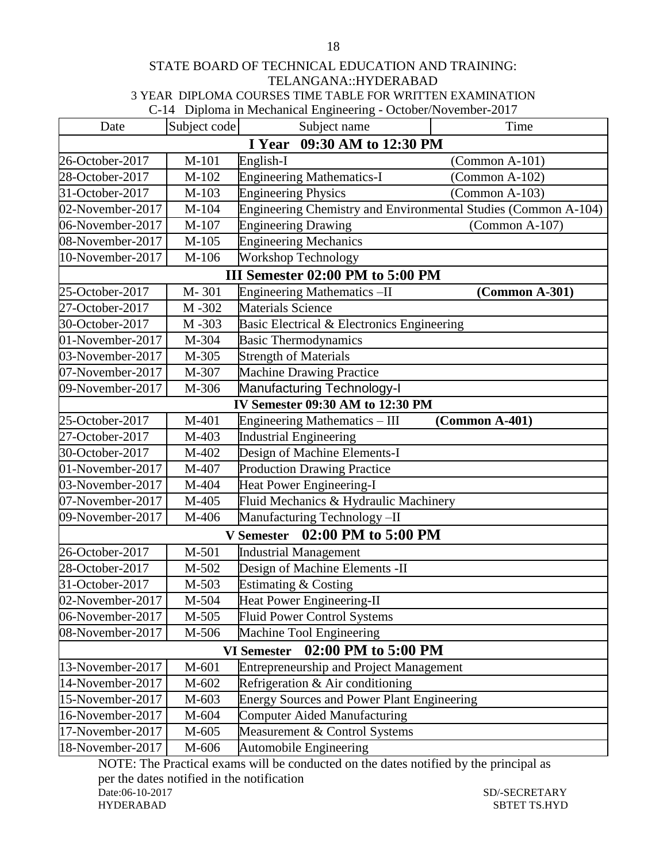#### STATE BOARD OF TECHNICAL EDUCATION AND TRAINING: TELANGANA::HYDERABAD 3 YEAR DIPLOMA COURSES TIME TABLE FOR WRITTEN EXAMINATION C-14Diploma in Mechanical Engineering - October/November-2017

| Date                                      | Subject code | Subject name                                                   | Time             |  |
|-------------------------------------------|--------------|----------------------------------------------------------------|------------------|--|
| I Year 09:30 AM to 12:30 PM               |              |                                                                |                  |  |
| 26-October-2017                           | M-101        | English-I                                                      | $(Common A-101)$ |  |
| 28-October-2017                           | $M-102$      | <b>Engineering Mathematics-I</b>                               | (Common A-102)   |  |
| 31-October-2017                           | M-103        | <b>Engineering Physics</b>                                     | $(Common A-103)$ |  |
| 02-November-2017                          | M-104        | Engineering Chemistry and Environmental Studies (Common A-104) |                  |  |
| 06-November-2017                          | M-107        | <b>Engineering Drawing</b>                                     | $(Common A-107)$ |  |
| 08-November-2017                          | $M-105$      | <b>Engineering Mechanics</b>                                   |                  |  |
| 10-November-2017                          | M-106        | Workshop Technology                                            |                  |  |
|                                           |              | III Semester 02:00 PM to 5:00 PM                               |                  |  |
| 25-October-2017                           | M-301        | <b>Engineering Mathematics -II</b>                             | $(Common A-301)$ |  |
| 27-October-2017                           | M-302        | <b>Materials Science</b>                                       |                  |  |
| 30-October-2017                           | M-303        | Basic Electrical & Electronics Engineering                     |                  |  |
| 01-November-2017                          | M-304        | <b>Basic Thermodynamics</b>                                    |                  |  |
| 03-November-2017                          | M-305        | <b>Strength of Materials</b>                                   |                  |  |
| 07-November-2017                          | M-307        | <b>Machine Drawing Practice</b>                                |                  |  |
| 09-November-2017                          | M-306        | <b>Manufacturing Technology-I</b>                              |                  |  |
|                                           |              | IV Semester 09:30 AM to 12:30 PM                               |                  |  |
| 25-October-2017                           | $M-401$      | Engineering Mathematics - III                                  | $(Common A-401)$ |  |
| 27-October-2017                           | M-403        | <b>Industrial Engineering</b>                                  |                  |  |
| 30-October-2017                           | M-402        | Design of Machine Elements-I                                   |                  |  |
| 01-November-2017                          | M-407        | <b>Production Drawing Practice</b>                             |                  |  |
| 03-November-2017                          | M-404        | Heat Power Engineering-I                                       |                  |  |
| 07-November-2017                          | M-405        | Fluid Mechanics & Hydraulic Machinery                          |                  |  |
| 09-November-2017                          | M-406        | Manufacturing Technology-II                                    |                  |  |
|                                           |              | V Semester 02:00 PM to 5:00 PM                                 |                  |  |
| 26-October-2017                           | M-501        | <b>Industrial Management</b>                                   |                  |  |
| 28-October-2017                           | M-502        | Design of Machine Elements -II                                 |                  |  |
| 31-October-2017                           | M-503        | Estimating & Costing                                           |                  |  |
| 02-November-2017                          | M-504        | Heat Power Engineering-II                                      |                  |  |
| 06-November-2017                          | M-505        | <b>Fluid Power Control Systems</b>                             |                  |  |
| 08-November-2017                          | M-506        | Machine Tool Engineering                                       |                  |  |
| 02:00 PM to 5:00 PM<br><b>VI Semester</b> |              |                                                                |                  |  |
| 13-November-2017                          | M-601        | <b>Entrepreneurship and Project Management</b>                 |                  |  |
| 14-November-2017                          | M-602        | Refrigeration & Air conditioning                               |                  |  |
| 15-November-2017                          | M-603        | <b>Energy Sources and Power Plant Engineering</b>              |                  |  |
| 16-November-2017                          | M-604        | <b>Computer Aided Manufacturing</b>                            |                  |  |
| 17-November-2017                          | M-605        | Measurement & Control Systems                                  |                  |  |
| 18-November-2017                          | M-606        | <b>Automobile Engineering</b>                                  |                  |  |

NOTE: The Practical exams will be conducted on the dates notified by the principal as per the dates notified in the notification<br>Date:06-10-2017 SD/-SECRETARY HYDERABAD SBTET TS.HYD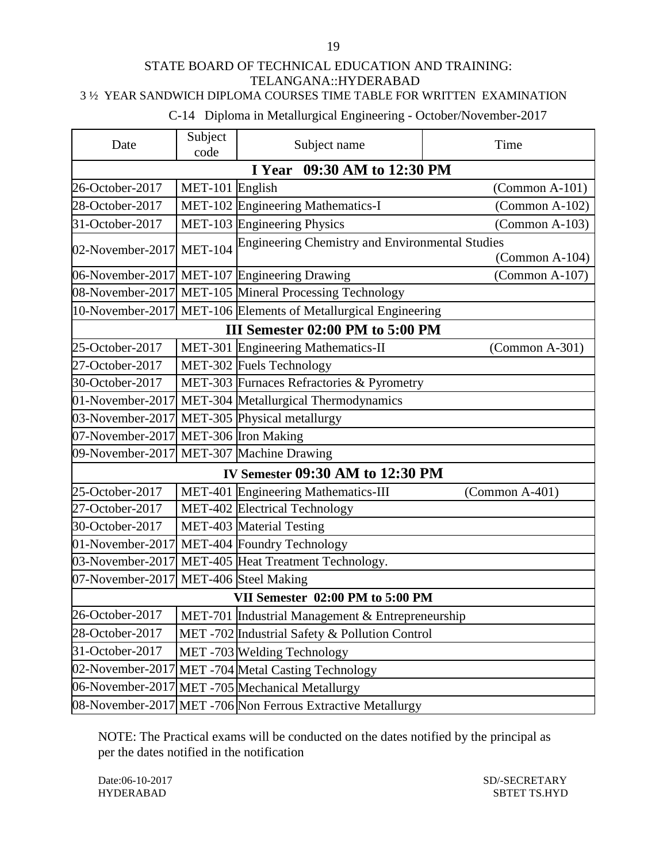### STATE BOARD OF TECHNICAL EDUCATION AND TRAINING: TELANGANA::HYDERABAD 3 ½ YEAR SANDWICH DIPLOMA COURSES TIME TABLE FOR WRITTEN EXAMINATION

# C-14 Diploma in Metallurgical Engineering - October/November-2017

| Date                                  | Subject<br>code         | Subject name                                                   | Time                    |  |
|---------------------------------------|-------------------------|----------------------------------------------------------------|-------------------------|--|
|                                       |                         | I Year 09:30 AM to 12:30 PM                                    |                         |  |
| 26-October-2017                       | MET-101 English         |                                                                | $(Common A-101)$        |  |
| 28-October-2017                       |                         | MET-102 Engineering Mathematics-I                              | (Common A-102)          |  |
| 31-October-2017                       |                         | MET-103 Engineering Physics                                    | $(Common A-103)$        |  |
| 02-November-2017 MET-104              |                         | Engineering Chemistry and Environmental Studies                |                         |  |
|                                       |                         |                                                                | $\Gamma$ (Common A-104) |  |
|                                       |                         | 06-November-2017 MET-107 Engineering Drawing                   | $\Gamma$ (Common A-107) |  |
|                                       |                         | 08-November-2017 MET-105 Mineral Processing Technology         |                         |  |
|                                       |                         | 10-November-2017 MET-106 Elements of Metallurgical Engineering |                         |  |
|                                       |                         | III Semester 02:00 PM to 5:00 PM                               |                         |  |
| 25-October-2017                       |                         | MET-301 Engineering Mathematics-II                             | $(Common A-301)$        |  |
| 27-October-2017                       |                         | MET-302 Fuels Technology                                       |                         |  |
| 30-October-2017                       |                         | MET-303 Furnaces Refractories & Pyrometry                      |                         |  |
| 01-November-2017                      |                         | MET-304 Metallurgical Thermodynamics                           |                         |  |
| 03-November-2017                      |                         | MET-305 Physical metallurgy                                    |                         |  |
| 07-November-2017 MET-306 Iron Making  |                         |                                                                |                         |  |
| 09-November-2017                      | MET-307 Machine Drawing |                                                                |                         |  |
|                                       |                         | <b>IV Semester 09:30 AM to 12:30 PM</b>                        |                         |  |
| 25-October-2017                       |                         | MET-401 Engineering Mathematics-III                            | $(Common A-401)$        |  |
| 27-October-2017                       |                         | MET-402 Electrical Technology                                  |                         |  |
| 30-October-2017                       |                         | MET-403 Material Testing                                       |                         |  |
| 01-November-2017                      |                         | MET-404 Foundry Technology                                     |                         |  |
| 03-November-2017                      |                         | MET-405 Heat Treatment Technology.                             |                         |  |
| 07-November-2017 MET-406 Steel Making |                         |                                                                |                         |  |
| VII Semester 02:00 PM to 5:00 PM      |                         |                                                                |                         |  |
| 26-October-2017                       |                         | MET-701 Industrial Management & Entrepreneurship               |                         |  |
| 28-October-2017                       |                         | MET -702 Industrial Safety & Pollution Control                 |                         |  |
| 31-October-2017                       |                         | MET-703 Welding Technology                                     |                         |  |
| 02-November-2017                      |                         | MET -704 Metal Casting Technology                              |                         |  |
|                                       |                         | 06-November-2017 MET -705 Mechanical Metallurgy                |                         |  |
|                                       |                         | 08-November-2017 MET -706 Non Ferrous Extractive Metallurgy    |                         |  |

NOTE: The Practical exams will be conducted on the dates notified by the principal as per the dates notified in the notification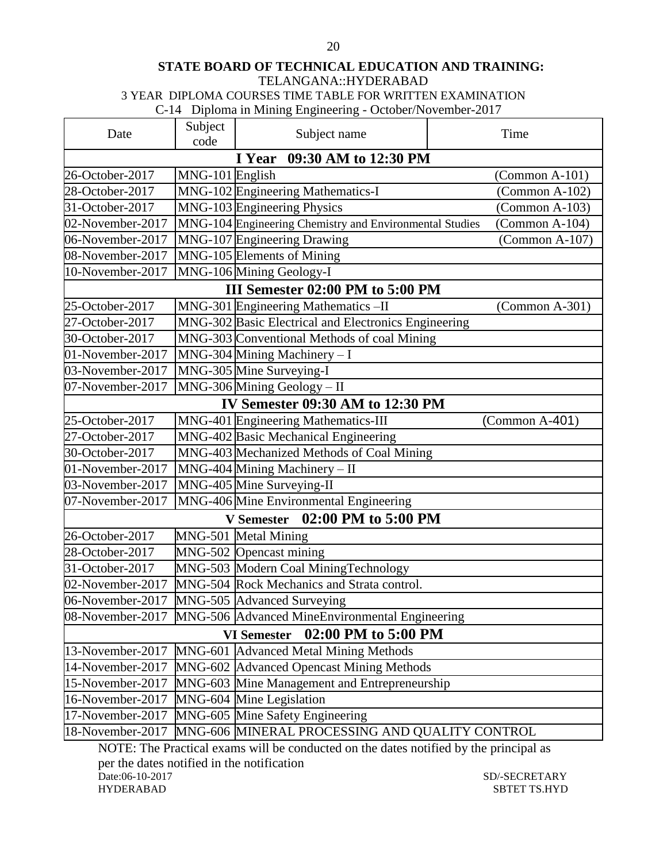# **STATE BOARD OF TECHNICAL EDUCATION AND TRAINING:**

TELANGANA::HYDERABAD

3 YEAR DIPLOMA COURSES TIME TABLE FOR WRITTEN EXAMINATION

C-14 Diploma in Mining Engineering - October/November-2017

| Date                                                | Subject<br>code                                | Subject name                                            | Time                    |  |  |
|-----------------------------------------------------|------------------------------------------------|---------------------------------------------------------|-------------------------|--|--|
|                                                     |                                                | I Year 09:30 AM to 12:30 PM                             |                         |  |  |
| 26-October-2017                                     | MNG-101 English                                |                                                         | $\Gamma$ (Common A-101) |  |  |
| 28-October-2017                                     |                                                | MNG-102 Engineering Mathematics-I                       | $(Common A-102)$        |  |  |
| 31-October-2017                                     |                                                | MNG-103 Engineering Physics                             | $(Common A-103)$        |  |  |
| 02-November-2017                                    |                                                | MNG-104 Engineering Chemistry and Environmental Studies | $(Common A-104)$        |  |  |
| 06-November-2017                                    |                                                | MNG-107 Engineering Drawing                             | $\Gamma$ (Common A-107) |  |  |
| 08-November-2017                                    |                                                | MNG-105 Elements of Mining                              |                         |  |  |
| 10-November-2017                                    |                                                | MNG-106 Mining Geology-I                                |                         |  |  |
|                                                     |                                                | III Semester 02:00 PM to 5:00 PM                        |                         |  |  |
| 25-October-2017                                     |                                                | MNG-301 Engineering Mathematics -II                     | $(Common A-301)$        |  |  |
| 27-October-2017                                     |                                                | MNG-302 Basic Electrical and Electronics Engineering    |                         |  |  |
| 30-October-2017                                     |                                                | MNG-303 Conventional Methods of coal Mining             |                         |  |  |
| 01-November-2017                                    |                                                | MNG-304 Mining Machinery - I                            |                         |  |  |
| 03-November-2017                                    |                                                | MNG-305 Mine Surveying-I                                |                         |  |  |
| 07-November-2017                                    |                                                | MNG-306 Mining Geology - II                             |                         |  |  |
|                                                     |                                                | IV Semester 09:30 AM to 12:30 PM                        |                         |  |  |
| 25-October-2017                                     |                                                | MNG-401 Engineering Mathematics-III                     | $(Common A-401)$        |  |  |
| 27-October-2017                                     |                                                | MNG-402 Basic Mechanical Engineering                    |                         |  |  |
| 30-October-2017                                     |                                                | MNG-403 Mechanized Methods of Coal Mining               |                         |  |  |
| 01-November-2017                                    |                                                | $MNG-404$ Mining Machinery - II                         |                         |  |  |
| 03-November-2017                                    |                                                | MNG-405 Mine Surveying-II                               |                         |  |  |
| 07-November-2017                                    |                                                | MNG-406 Mine Environmental Engineering                  |                         |  |  |
|                                                     |                                                | V Semester 02:00 PM to 5:00 PM                          |                         |  |  |
| 26-October-2017                                     |                                                | MNG-501 Metal Mining                                    |                         |  |  |
| 28-October-2017                                     |                                                | MNG-502 Opencast mining                                 |                         |  |  |
| 31-October-2017                                     |                                                | MNG-503 Modern Coal MiningTechnology                    |                         |  |  |
| 02-November-2017                                    |                                                | MNG-504 Rock Mechanics and Strata control.              |                         |  |  |
| 06-November-2017                                    |                                                | MNG-505 Advanced Surveying                              |                         |  |  |
| 08-November-2017                                    |                                                | MNG-506 Advanced MineEnvironmental Engineering          |                         |  |  |
| 02:00 PM to 5:00 PM<br><b>VI Semester</b>           |                                                |                                                         |                         |  |  |
| 13-November-2017                                    |                                                | MNG-601 Advanced Metal Mining Methods                   |                         |  |  |
| 14-November-2017                                    |                                                | MNG-602 Advanced Opencast Mining Methods                |                         |  |  |
| 15-November-2017                                    |                                                | MNG-603 Mine Management and Entrepreneurship            |                         |  |  |
| 16-November-2017                                    |                                                | MNG-604 Mine Legislation                                |                         |  |  |
| 17-November-2017<br>MNG-605 Mine Safety Engineering |                                                |                                                         |                         |  |  |
| 18-November-2017                                    | MNG-606 MINERAL PROCESSING AND QUALITY CONTROL |                                                         |                         |  |  |

NOTE: The Practical exams will be conducted on the dates notified by the principal as per the dates notified in the notification<br>Date:06-10-2017 Date:06-10-2017 SD/-SECRETARY SBTET TS.HYD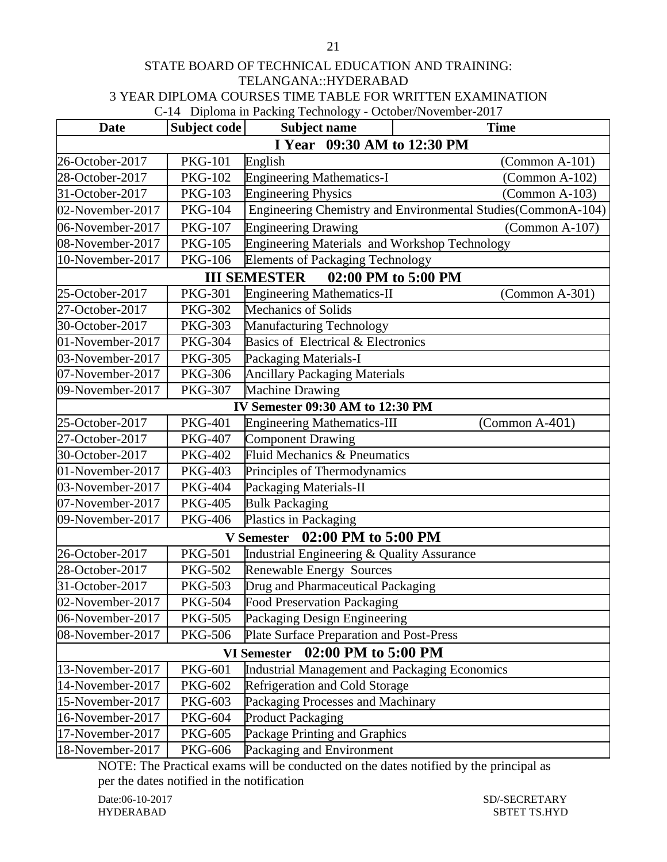# STATE BOARD OF TECHNICAL EDUCATION AND TRAINING: TELANGANA::HYDERABAD 3 YEAR DIPLOMA COURSES TIME TABLE FOR WRITTEN EXAMINATION

C-14 Diploma in Packing Technology - October/November-2017

| <b>Date</b>                 | Subject code   | -כ<br>Subject name                            | <b>Time</b>                                                  |  |
|-----------------------------|----------------|-----------------------------------------------|--------------------------------------------------------------|--|
| I Year 09:30 AM to 12:30 PM |                |                                               |                                                              |  |
| 26-October-2017             | <b>PKG-101</b> | English                                       | $\Gamma$ (Common A-101)                                      |  |
| 28-October-2017             | <b>PKG-102</b> | <b>Engineering Mathematics-I</b>              | $(Common A-102)$                                             |  |
| 31-October-2017             | <b>PKG-103</b> | <b>Engineering Physics</b>                    | $(Common A-103)$                                             |  |
| 02-November-2017            | <b>PKG-104</b> |                                               | Engineering Chemistry and Environmental Studies(CommonA-104) |  |
| 06-November-2017            | <b>PKG-107</b> | <b>Engineering Drawing</b>                    | $(Common A-107)$                                             |  |
| 08-November-2017            | <b>PKG-105</b> | Engineering Materials and Workshop Technology |                                                              |  |
| 10-November-2017            | <b>PKG-106</b> | <b>Elements of Packaging Technology</b>       |                                                              |  |
|                             |                | <b>III SEMESTER</b>                           | 02:00 PM to 5:00 PM                                          |  |
| 25-October-2017             | <b>PKG-301</b> | <b>Engineering Mathematics-II</b>             | $\Gamma$ (Common A-301)                                      |  |
| 27-October-2017             | <b>PKG-302</b> | <b>Mechanics of Solids</b>                    |                                                              |  |
| 30-October-2017             | <b>PKG-303</b> | Manufacturing Technology                      |                                                              |  |
| 01-November-2017            | <b>PKG-304</b> | Basics of Electrical & Electronics            |                                                              |  |
| 03-November-2017            | <b>PKG-305</b> | Packaging Materials-I                         |                                                              |  |
| 07-November-2017            | <b>PKG-306</b> | <b>Ancillary Packaging Materials</b>          |                                                              |  |
| 09-November-2017            | <b>PKG-307</b> | <b>Machine Drawing</b>                        |                                                              |  |
|                             |                | IV Semester 09:30 AM to 12:30 PM              |                                                              |  |
| 25-October-2017             | <b>PKG-401</b> | <b>Engineering Mathematics-III</b>            | $(Common A-401)$                                             |  |
| 27-October-2017             | <b>PKG-407</b> | <b>Component Drawing</b>                      |                                                              |  |
| 30-October-2017             | <b>PKG-402</b> | Fluid Mechanics & Pneumatics                  |                                                              |  |
| 01-November-2017            | <b>PKG-403</b> | Principles of Thermodynamics                  |                                                              |  |
| 03-November-2017            | <b>PKG-404</b> | Packaging Materials-II                        |                                                              |  |
| 07-November-2017            | <b>PKG-405</b> | <b>Bulk Packaging</b>                         |                                                              |  |
| 09-November-2017            | <b>PKG-406</b> | Plastics in Packaging                         |                                                              |  |
|                             |                | 02:00 PM to 5:00 PM<br><b>V</b> Semester      |                                                              |  |
| 26-October-2017             | <b>PKG-501</b> | Industrial Engineering & Quality Assurance    |                                                              |  |
| 28-October-2017             | <b>PKG-502</b> | <b>Renewable Energy Sources</b>               |                                                              |  |
| 31-October-2017             | <b>PKG-503</b> | Drug and Pharmaceutical Packaging             |                                                              |  |
| 02-November-2017            | <b>PKG-504</b> | <b>Food Preservation Packaging</b>            |                                                              |  |
| 06-November-2017            | <b>PKG-505</b> | Packaging Design Engineering                  |                                                              |  |
| 08-November-2017            | <b>PKG-506</b> | Plate Surface Preparation and Post-Press      |                                                              |  |
|                             |                | 02:00 PM to 5:00 PM<br><b>VI Semester</b>     |                                                              |  |
| 13-November-2017            | <b>PKG-601</b> | Industrial Management and Packaging Economics |                                                              |  |
| 14-November-2017            | <b>PKG-602</b> | <b>Refrigeration and Cold Storage</b>         |                                                              |  |
| 15-November-2017            | <b>PKG-603</b> | Packaging Processes and Machinary             |                                                              |  |
| 16-November-2017            | <b>PKG-604</b> | <b>Product Packaging</b>                      |                                                              |  |
| 17-November-2017            | <b>PKG-605</b> | Package Printing and Graphics                 |                                                              |  |
| 18-November-2017            | <b>PKG-606</b> | Packaging and Environment                     |                                                              |  |